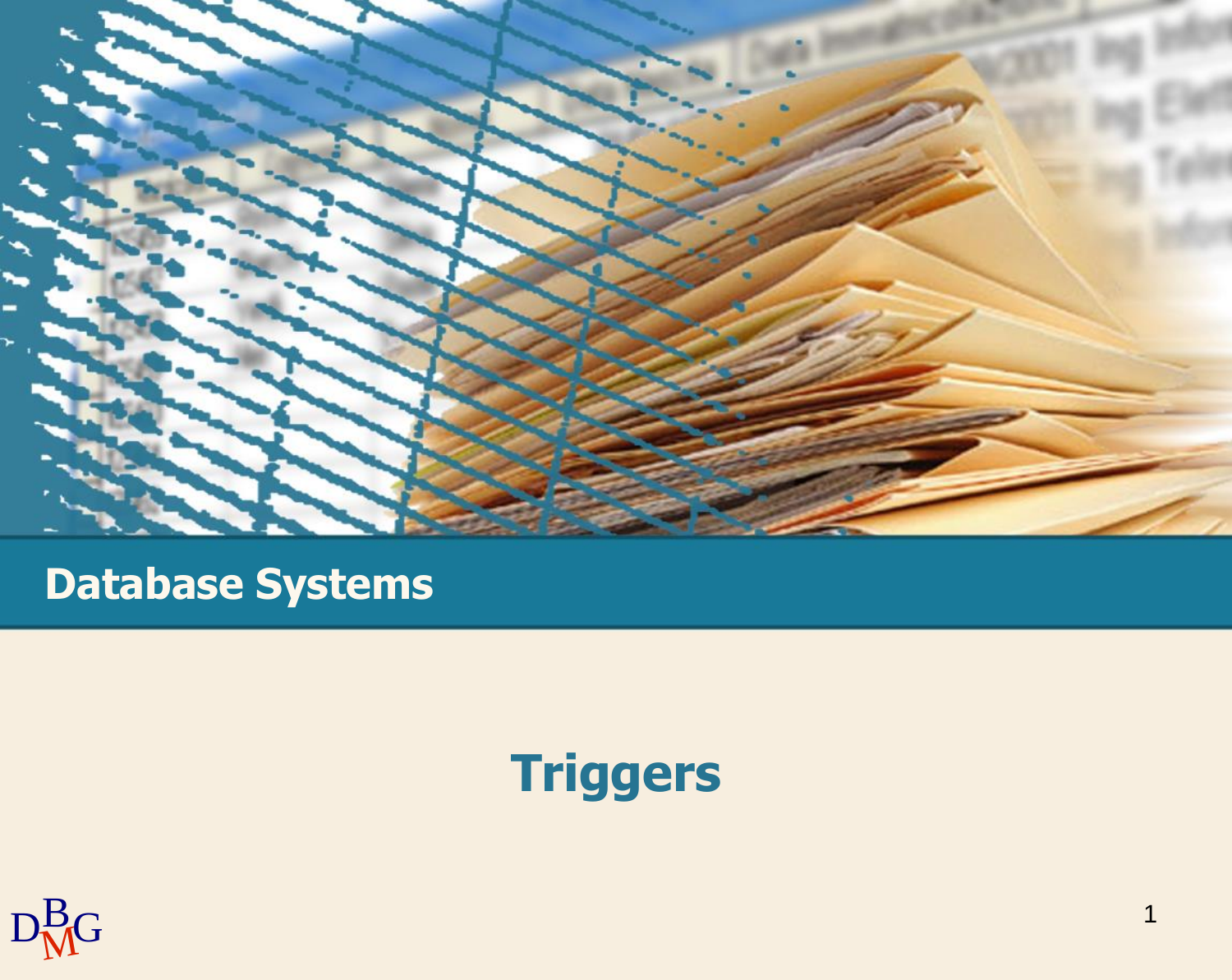

#### **Database Systems**

## **Triggers**

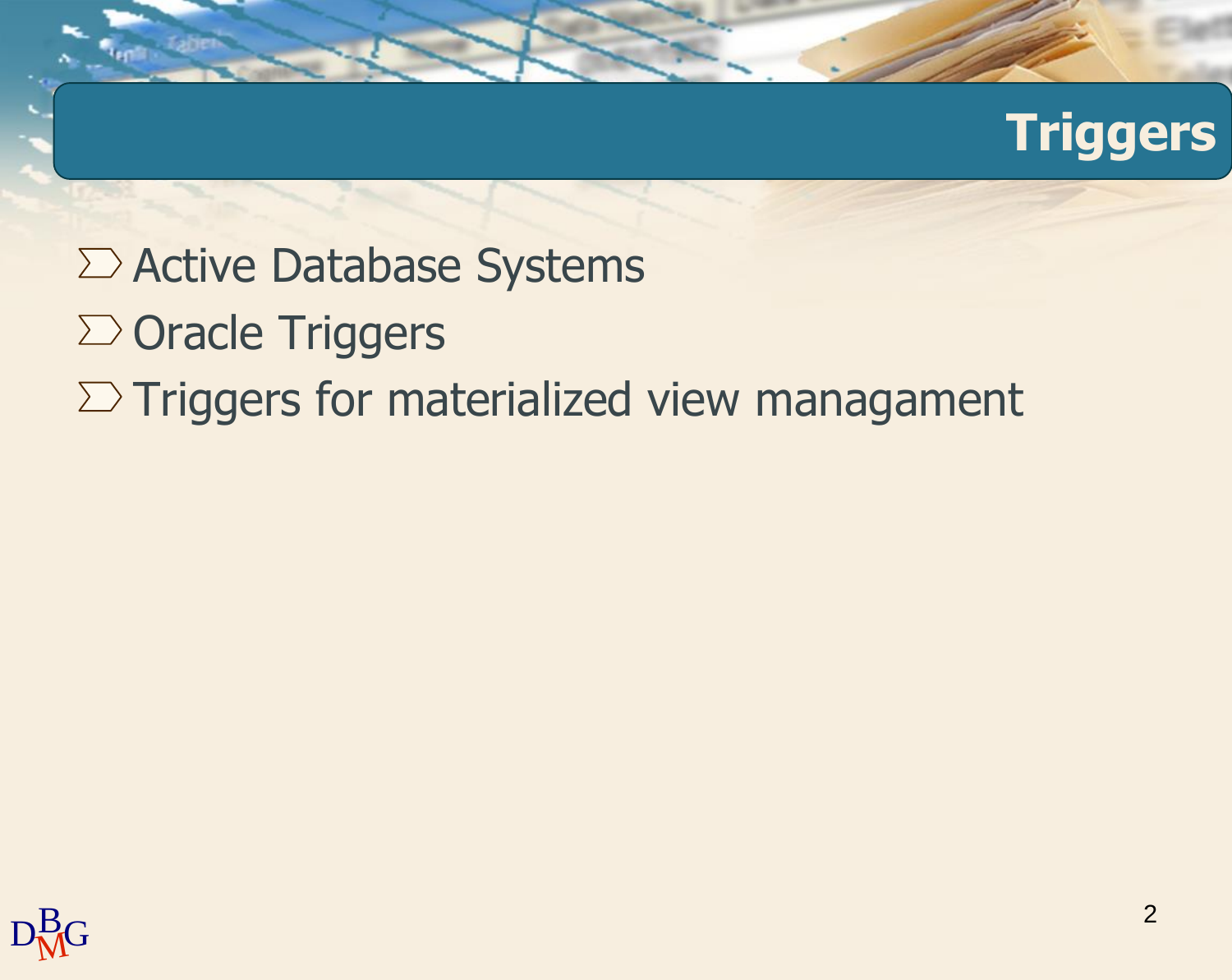## **Triggers**

- $\Sigma$  Active Database Systems
- $\Sigma$  Oracle Triggers

### $\Sigma$  Triggers for materialized view managament

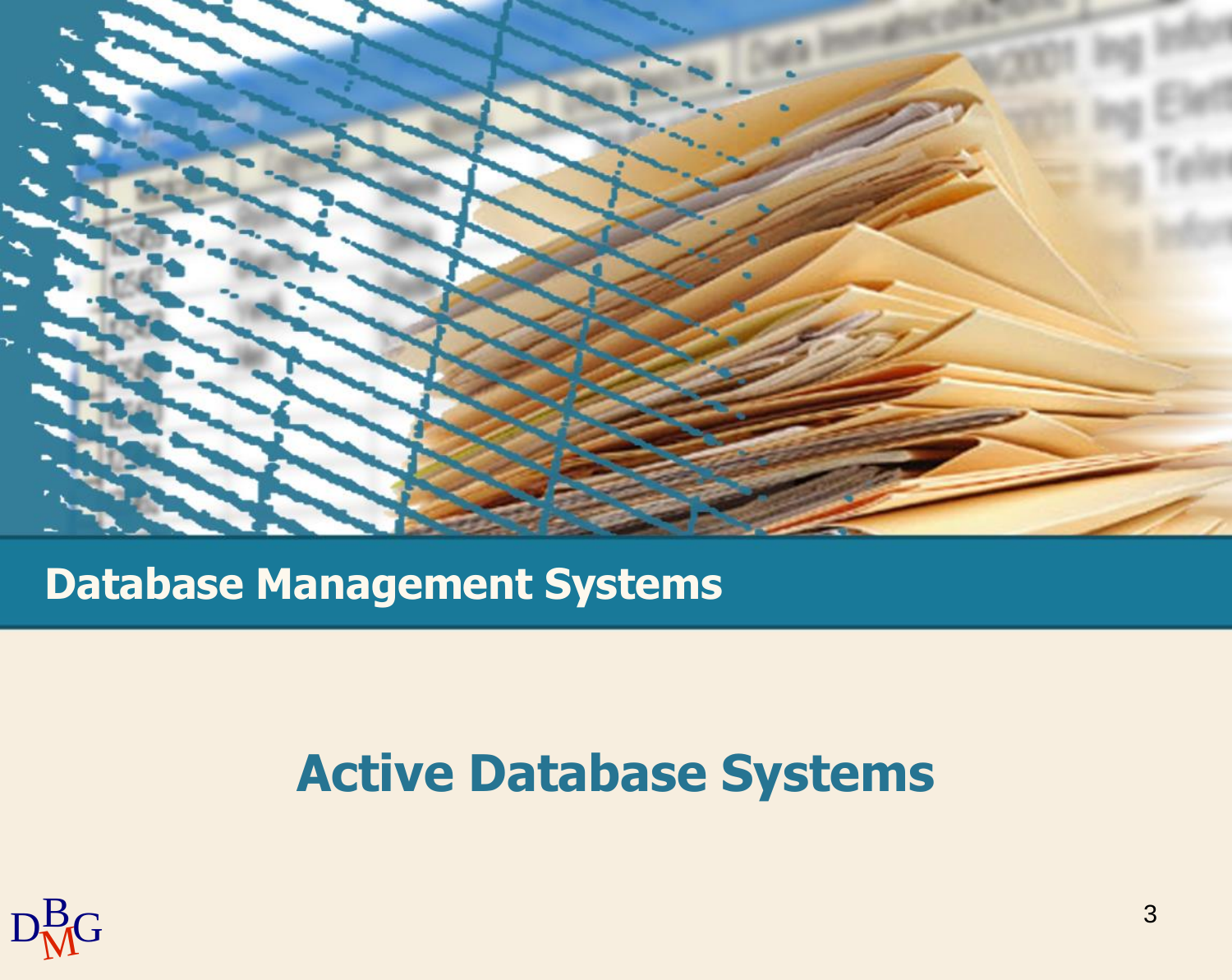

**Database Management Systems**

### **Active Database Systems**

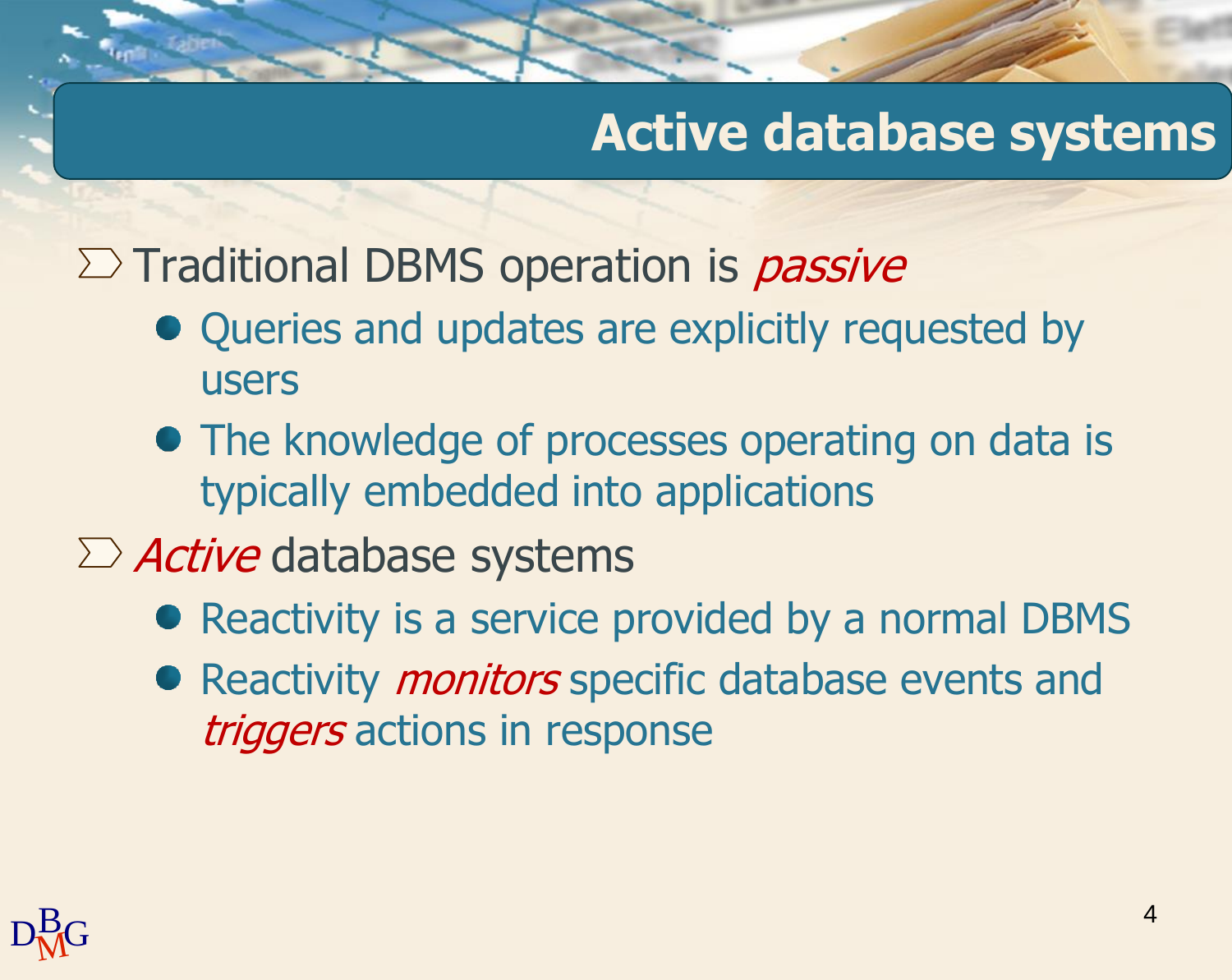### **Active database systems**

 $\Sigma$  Traditional DBMS operation is *passive* 

- Queries and updates are explicitly requested by users
- The knowledge of processes operating on data is typically embedded into applications
- $\sum$  *Active* database systems
	- Reactivity is a service provided by a normal DBMS
	- Reactivity *monitors* specific database events and triggers actions in response

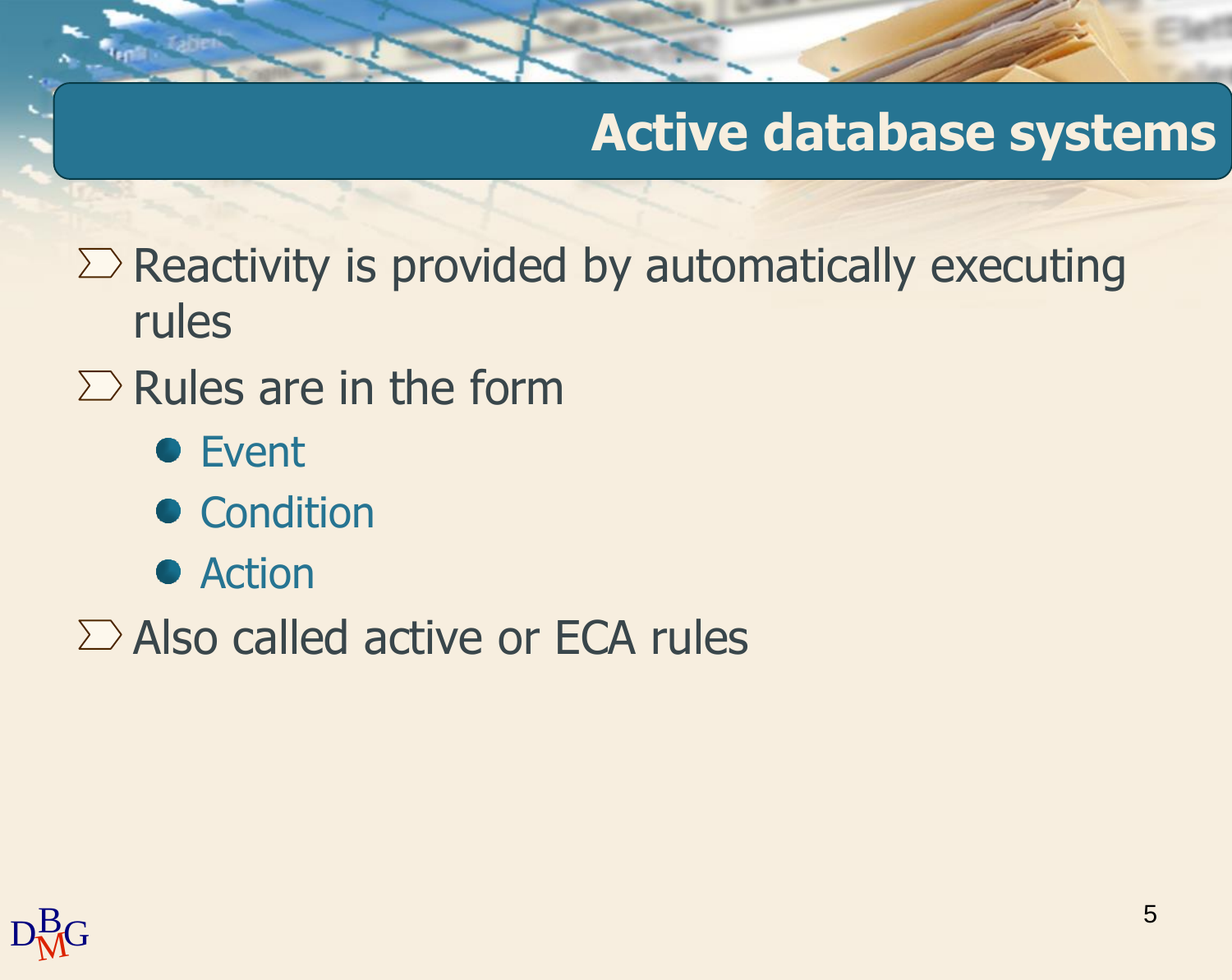### **Active database systems**

 $\Sigma$  Reactivity is provided by automatically executing rules

- $\Sigma$  Rules are in the form
	- **•** Event
	- Condition
	- Action
- $\Sigma$  Also called active or ECA rules

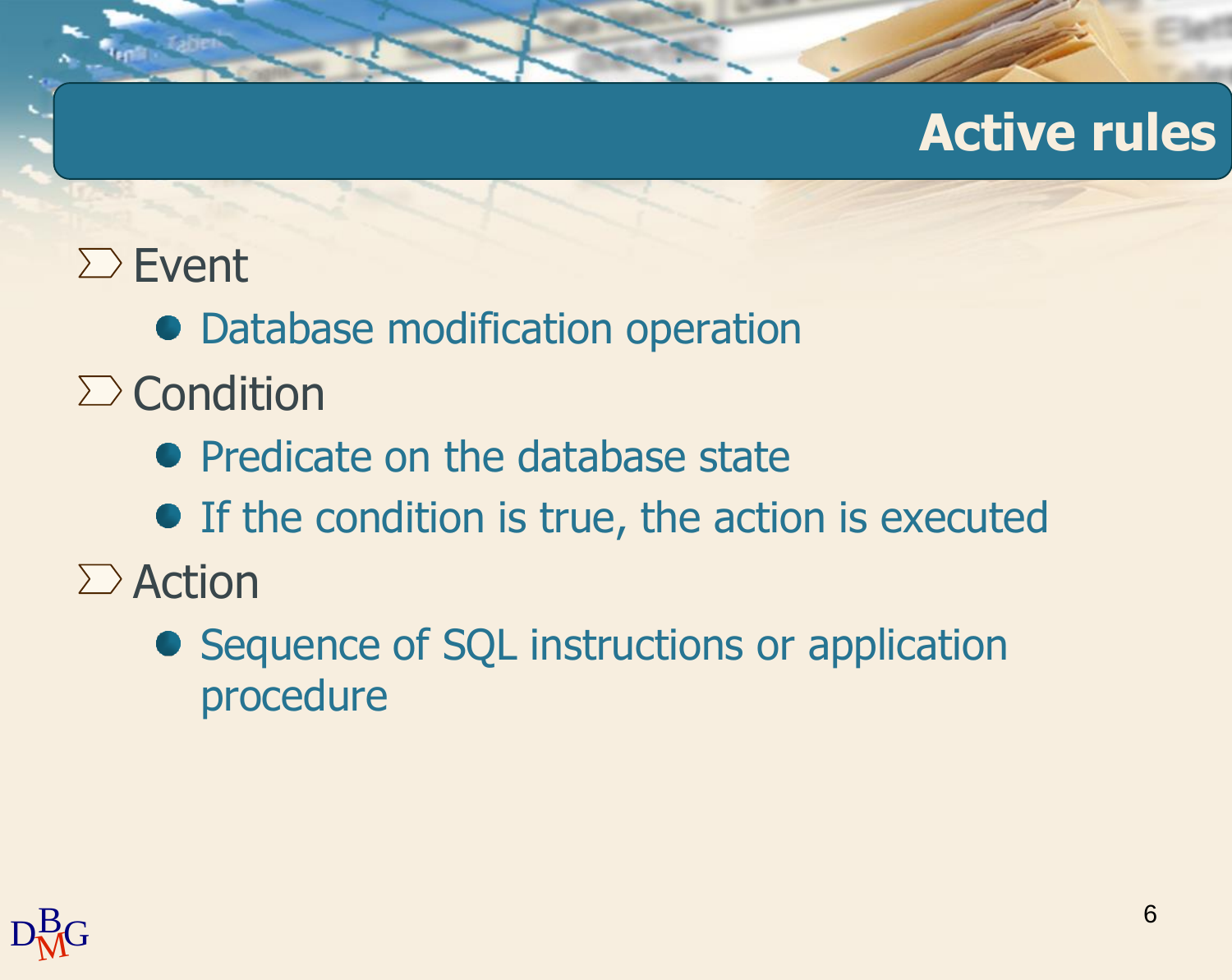#### **Active rules**

### $\Sigma$  Event

- Database modification operation
- $\sum$  Condition
	- Predicate on the database state
	- If the condition is true, the action is executed
- $\sum$  Action
	- Sequence of SQL instructions or application procedure

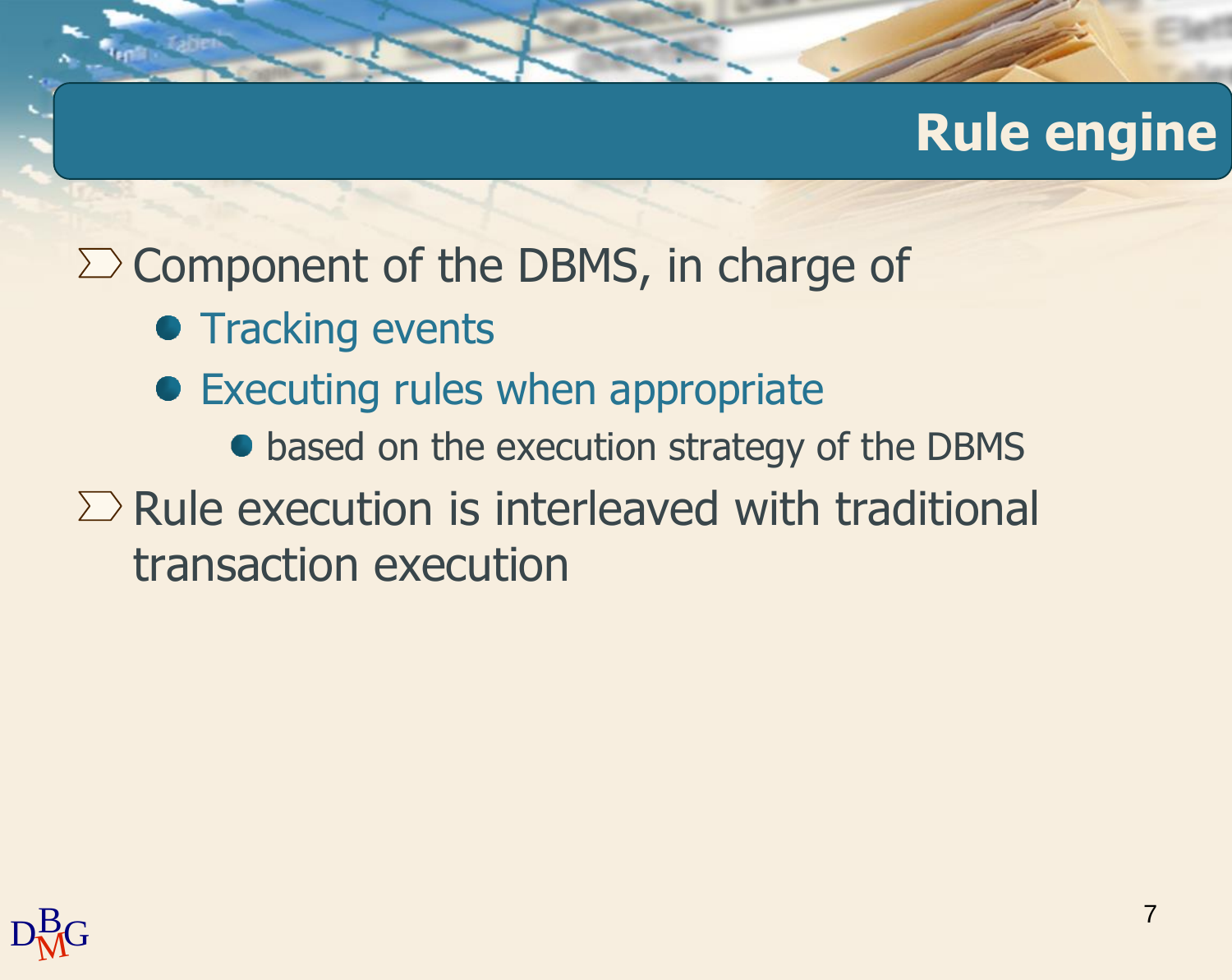### **Rule engine**

 $\Sigma$  Component of the DBMS, in charge of

- **Tracking events**
- Executing rules when appropriate
	- $\bullet$  based on the execution strategy of the DBMS
- $\Sigma$  Rule execution is interleaved with traditional transaction execution

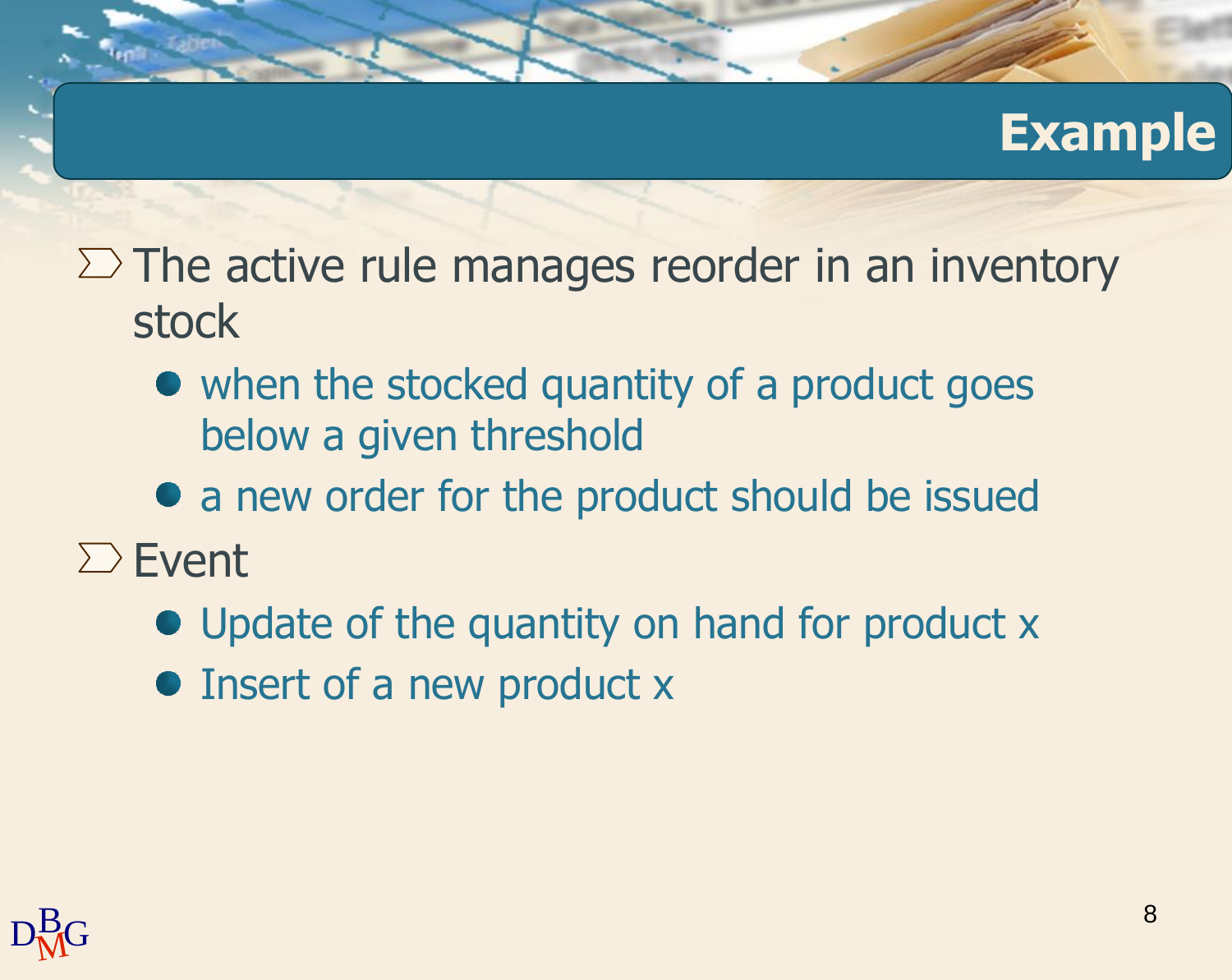#### **Example**

- $\Sigma$  The active rule manages reorder in an inventory stock
	- when the stocked quantity of a product goes below a given threshold
	- a new order for the product should be issued
- $\Sigma$  Event
	- Update of the quantity on hand for product x
	- Insert of a new product x

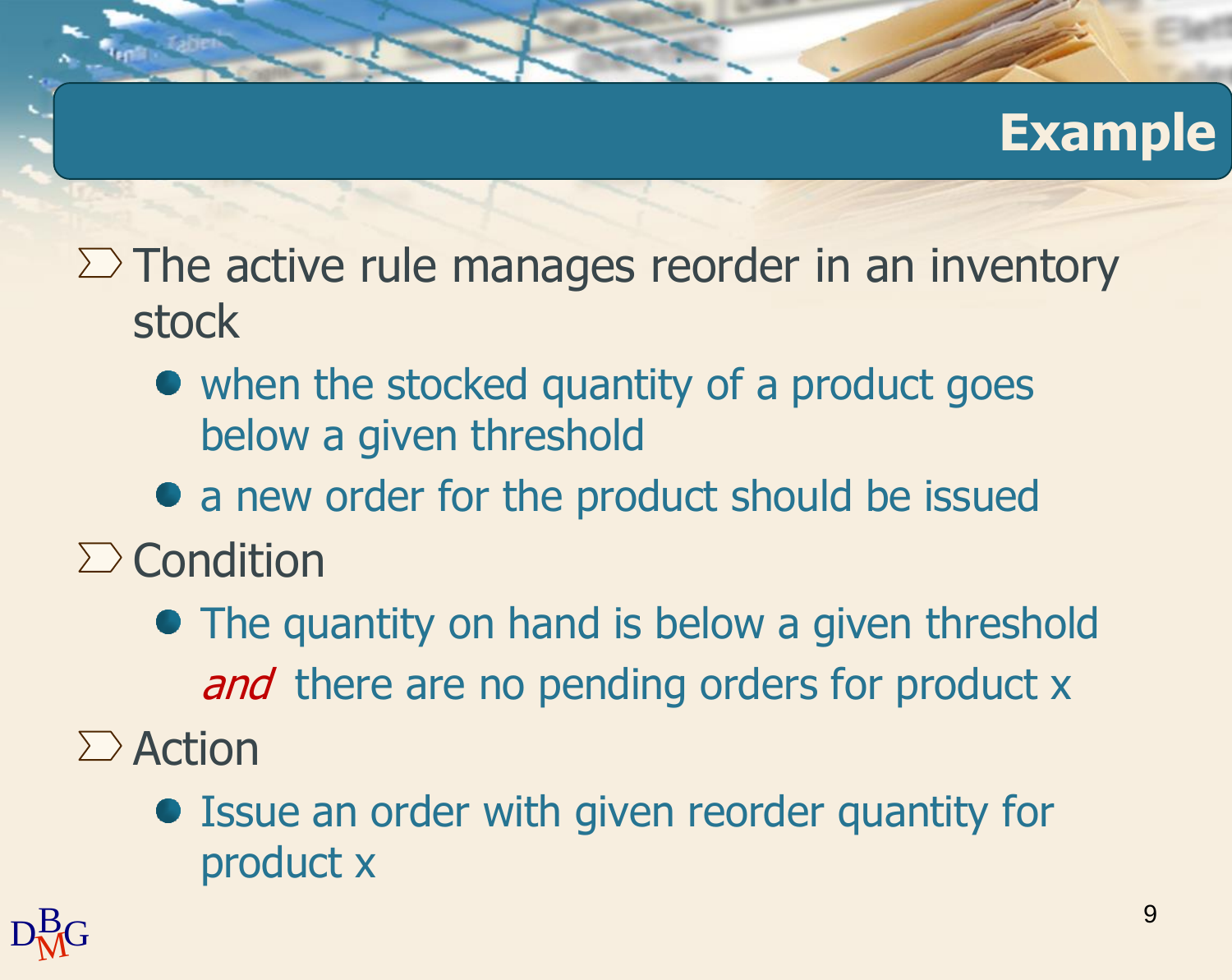#### **Example**

- $\Sigma$  The active rule manages reorder in an inventory stock
	- when the stocked quantity of a product goes below a given threshold
	- a new order for the product should be issued
- $\sum$  Condition
	- The quantity on hand is below a given threshold and there are no pending orders for product x
- $\sum$  Action
	- Issue an order with given reorder quantity for product x

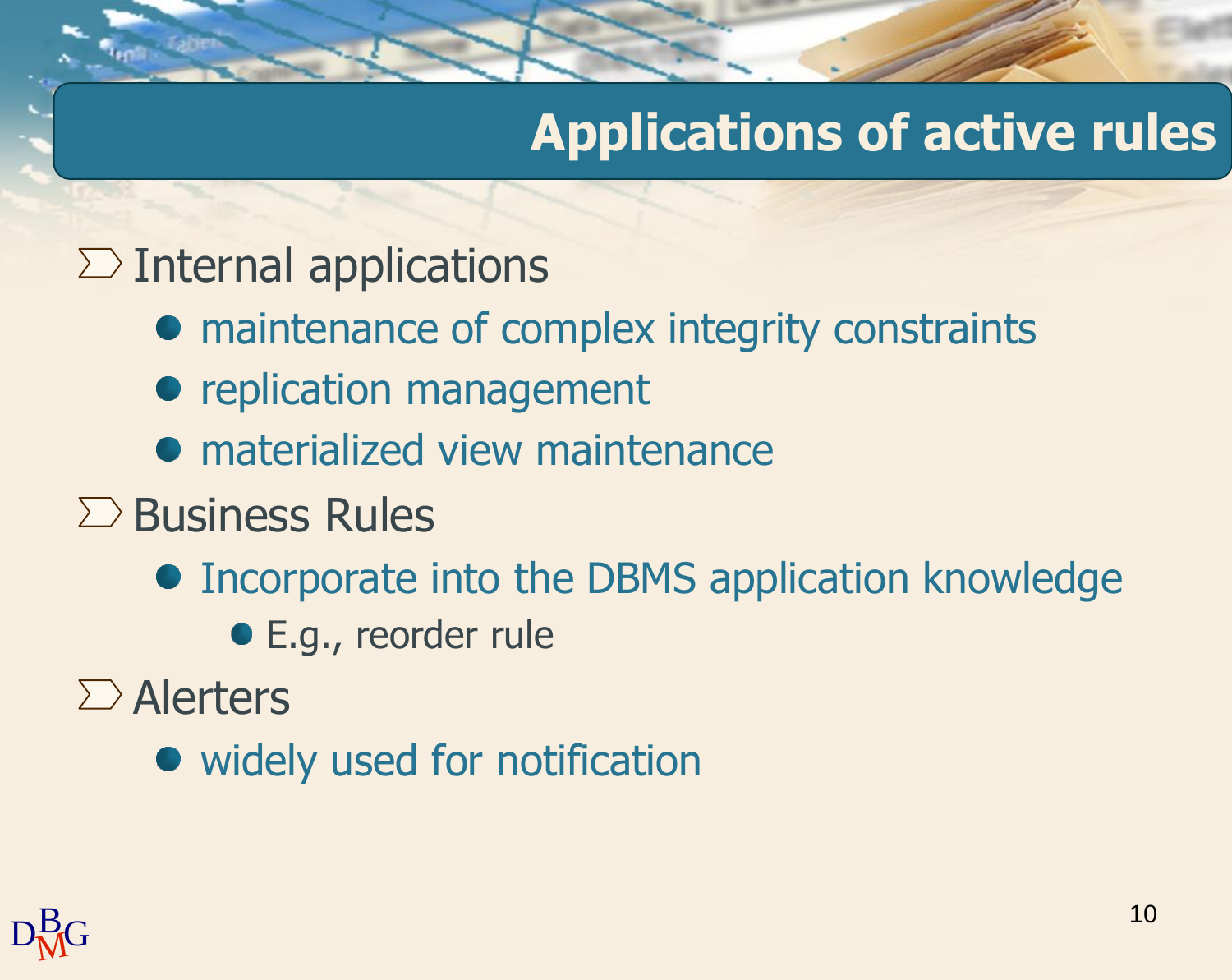### **Applications of active rules**

#### $\sum$  Internal applications

- maintenance of complex integrity constraints
- replication management
- **•** materialized view maintenance
- $\Sigma$  Business Rules
	- **Incorporate into the DBMS application knowledge** 
		- E.g., reorder rule

 $\sum$  Alerters

• widely used for notification

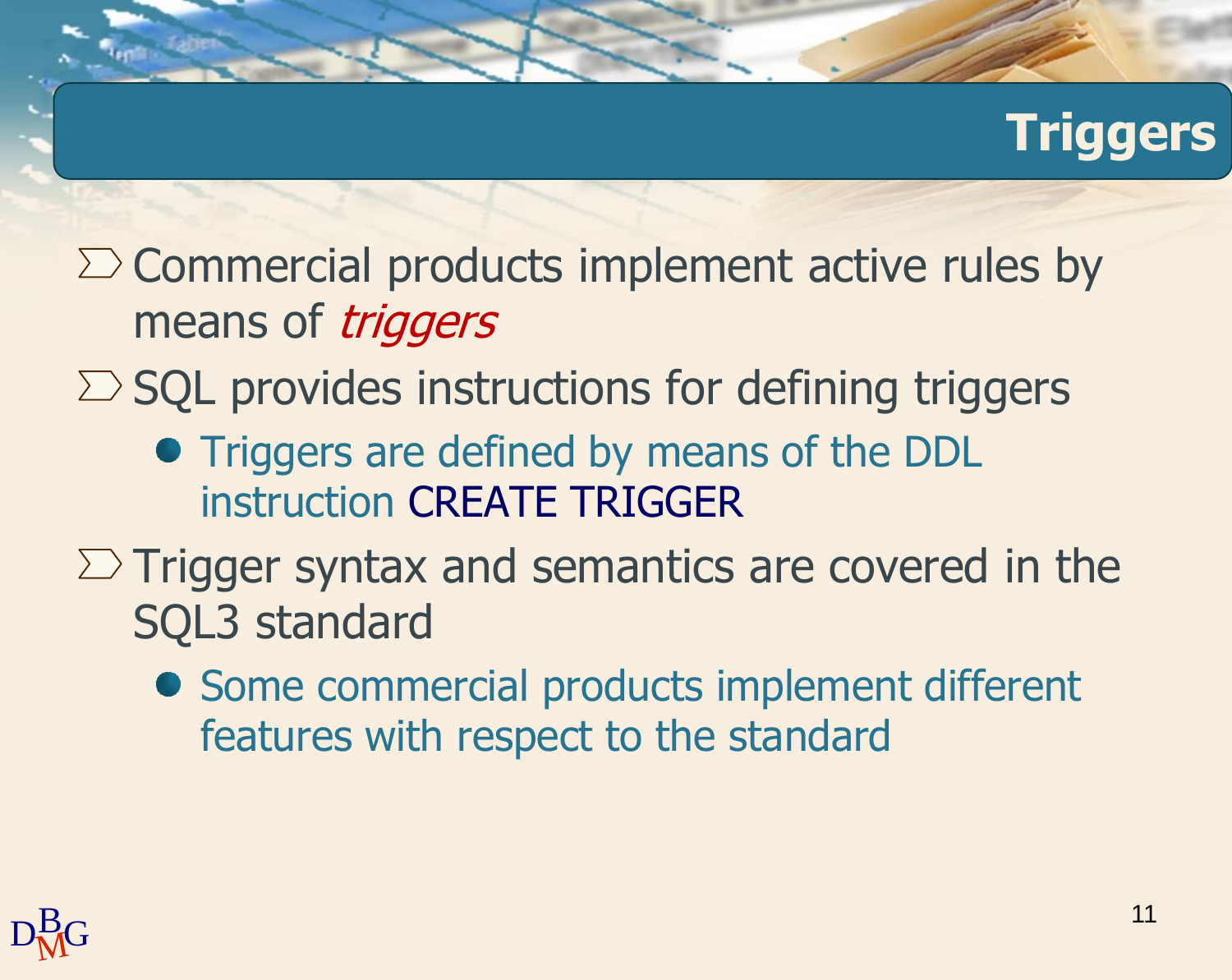## **Triggers**

- $\Sigma$  Commercial products implement active rules by means of *triggers*
- $\Sigma$  SQL provides instructions for defining triggers
	- **Triggers are defined by means of the DDL** instruction CREATE TRIGGER
- $\Sigma$  Trigger syntax and semantics are covered in the SQL3 standard
	- Some commercial products implement different features with respect to the standard

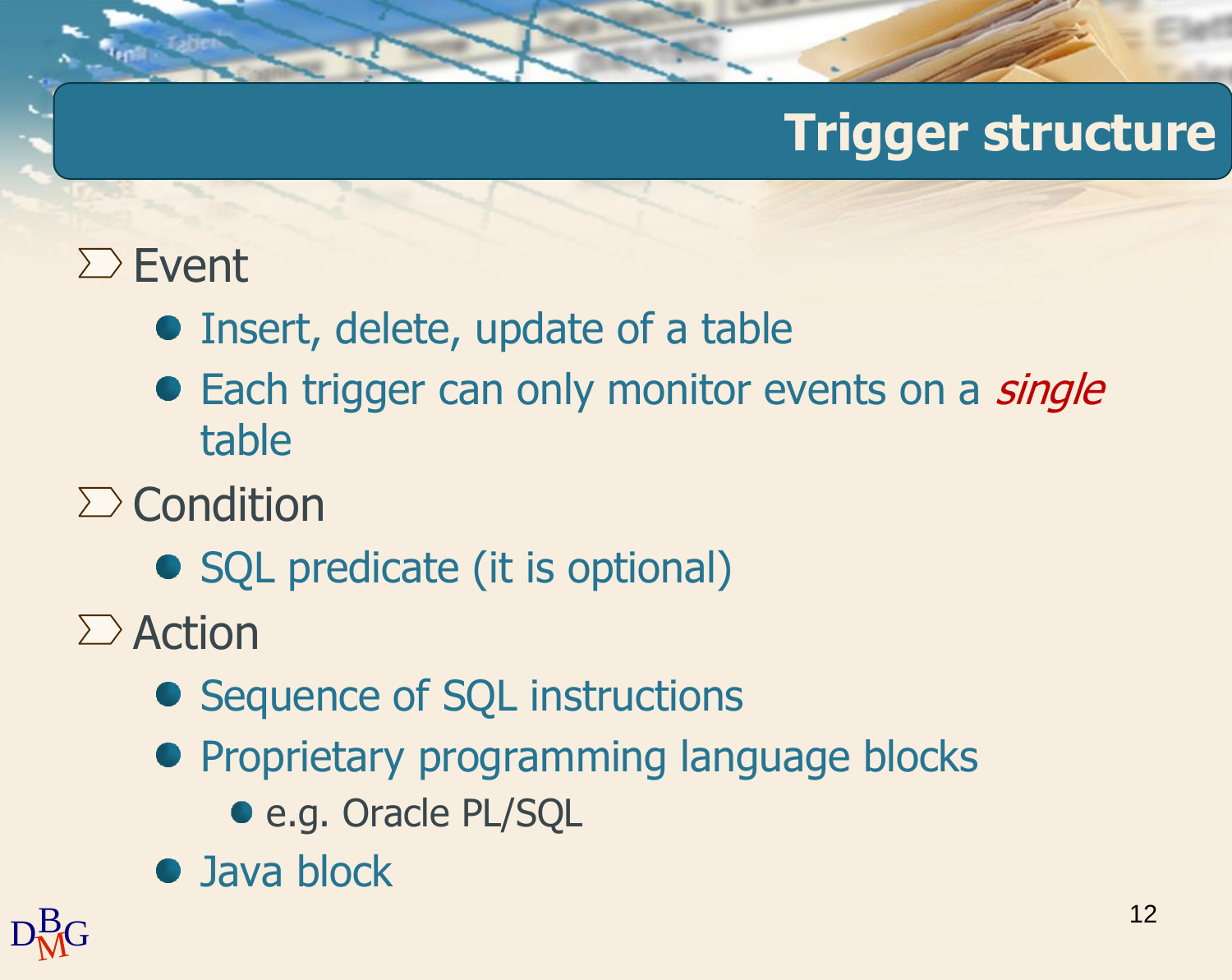### **Trigger structure**

### $\Sigma$  Event

- Insert, delete, update of a table
- Each trigger can only monitor events on a *single* table
- $\sum$  Condition
	- SQL predicate (it is optional)
- $\sum$  Action
	- Sequence of SQL instructions
	- **Proprietary programming language blocks** 
		- e.g. Oracle PL/SQL
	- Java block

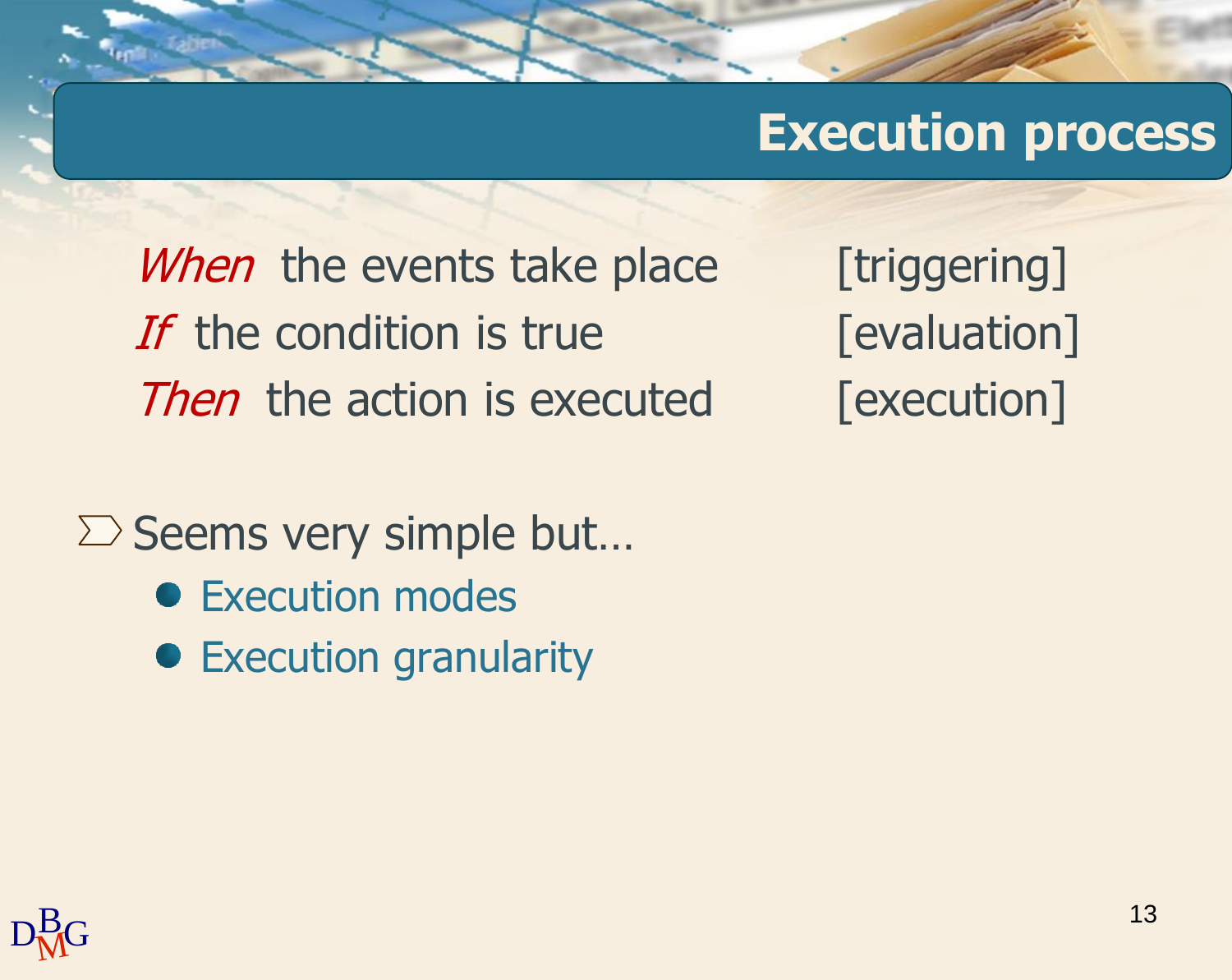#### **Execution process**

When the events take place [triggering] If the condition is true  $[evaluation]$ Then the action is executed [execution]

 $\Sigma$  Seems very simple but...

- Execution modes
- **•** Execution granularity

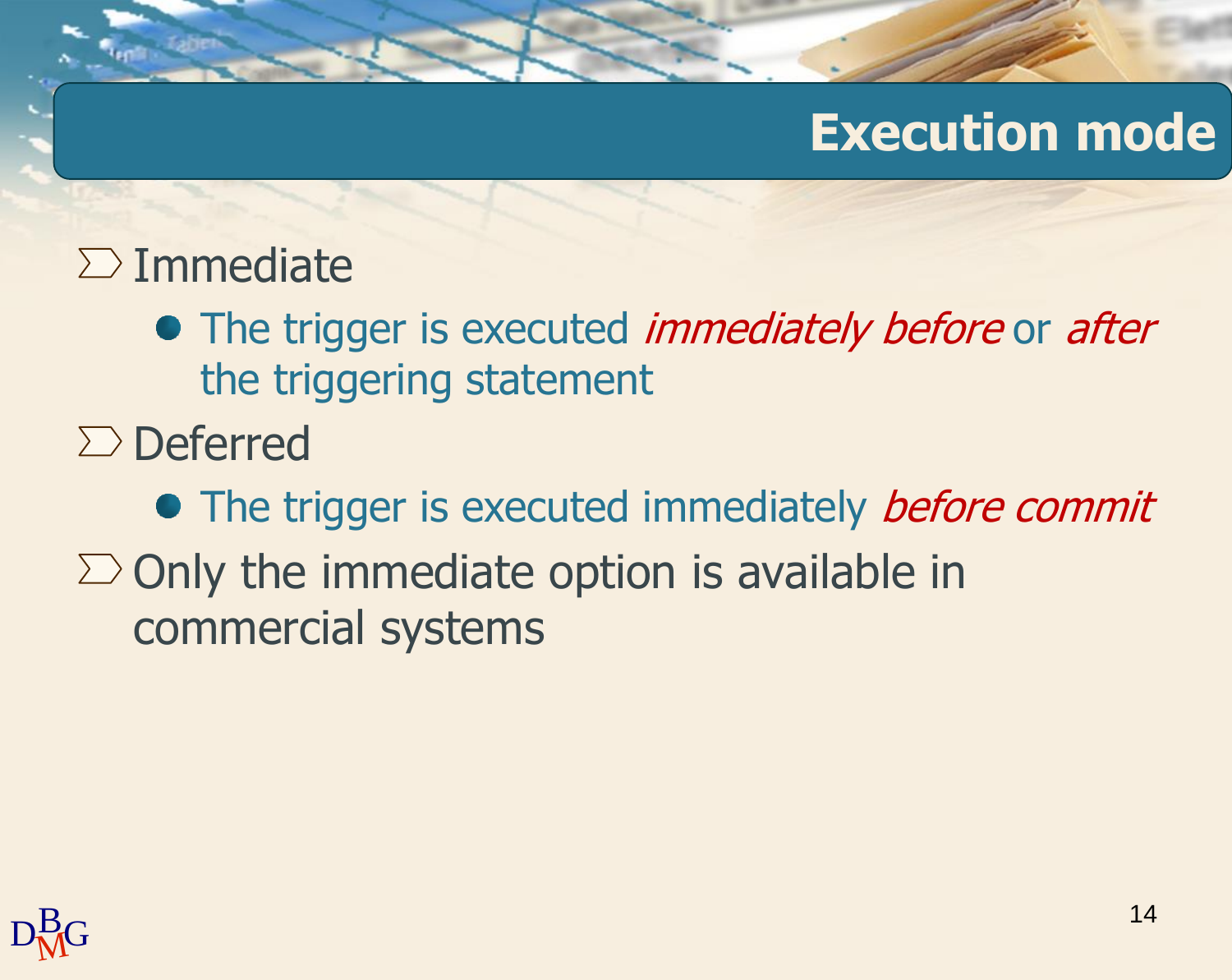### **Execution mode**

#### $\sum$  Immediate

- The trigger is executed *immediately before* or *after* the triggering statement
- $\Sigma$  Deferred
- The trigger is executed immediately *before commit*  $\Sigma$  Only the immediate option is available in commercial systems

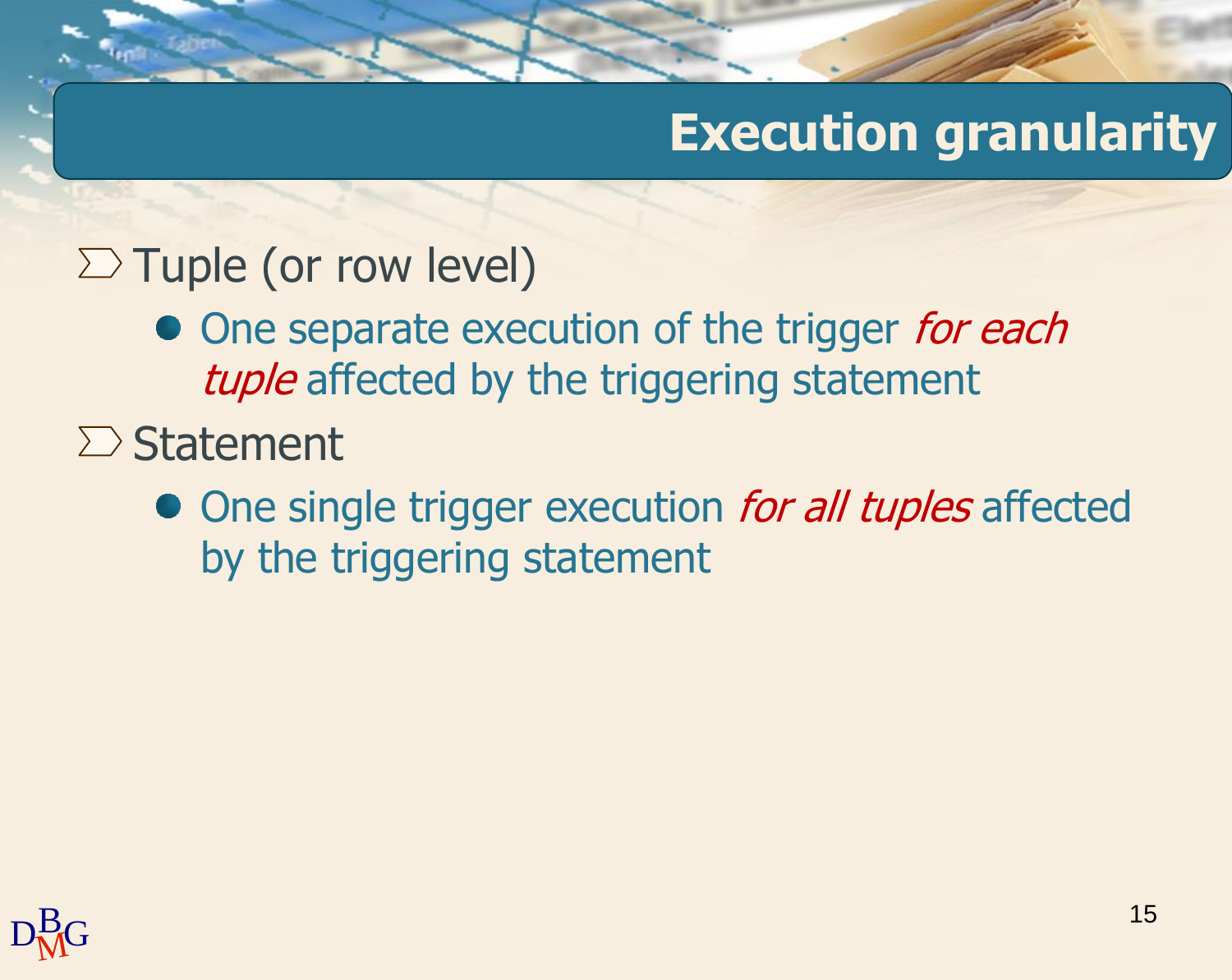## **Execution granularity**

#### $\Sigma$  Tuple (or row level)

- One separate execution of the trigger for each tuple affected by the triggering statement
- $\sum$  Statement
	- One single trigger execution for all tuples affected by the triggering statement

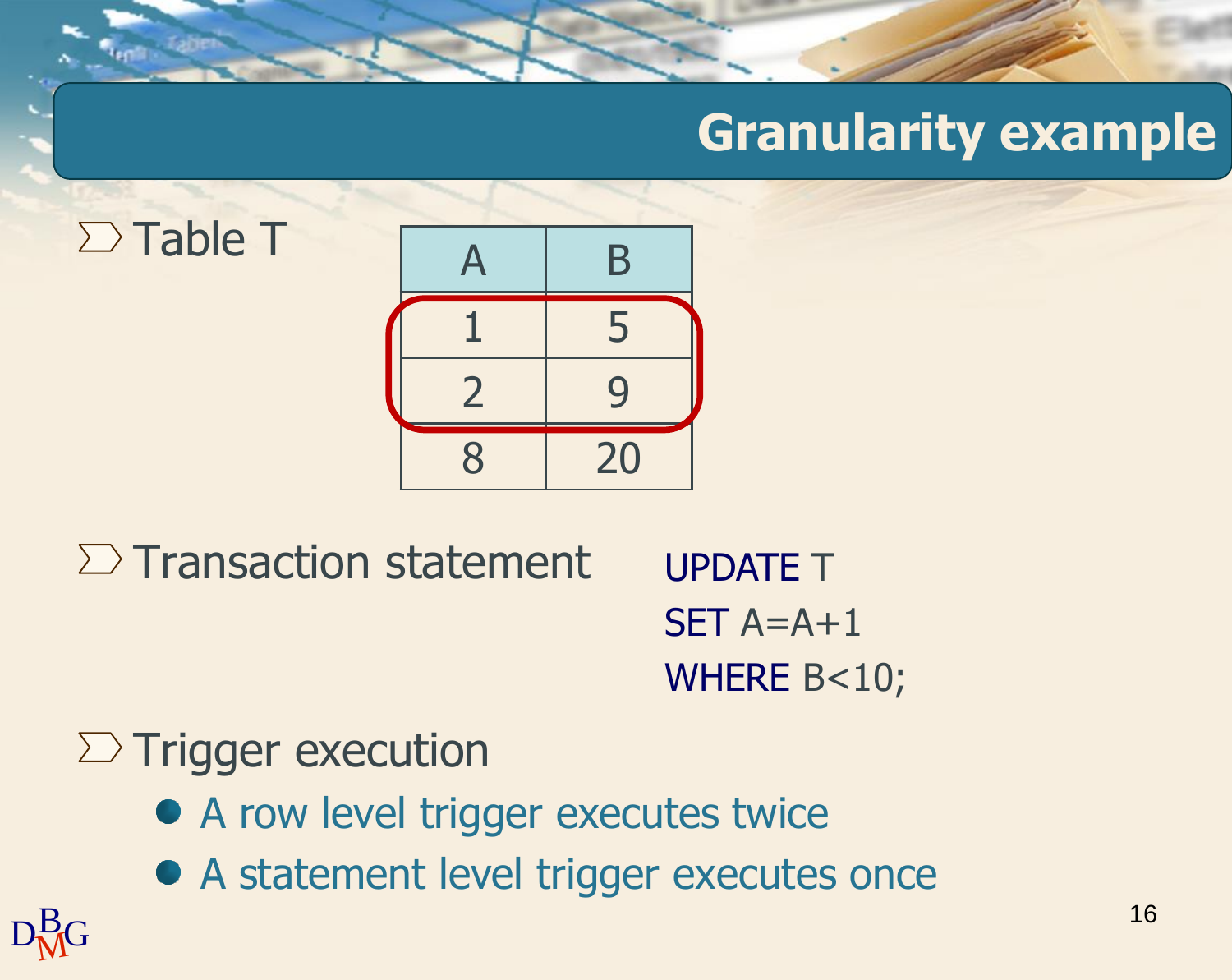## **Granularity example**





 $\Sigma$  Transaction statement

UPDATE T  $SET A=A+1$ WHERE B<10;

#### $\Sigma$  Trigger execution

- A row level trigger executes twice
- A statement level trigger executes once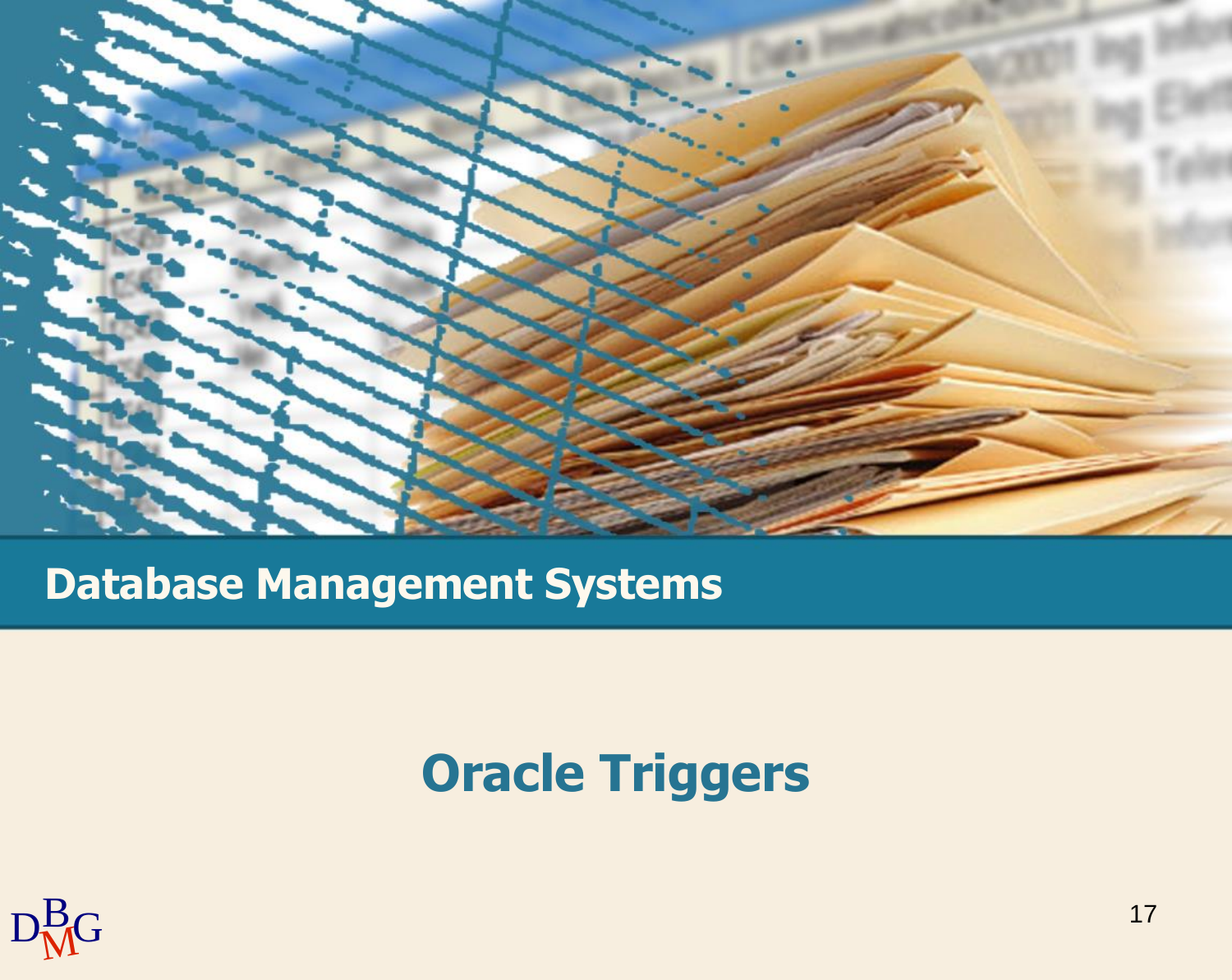

#### **Database Management Systems**

### **Oracle Triggers**

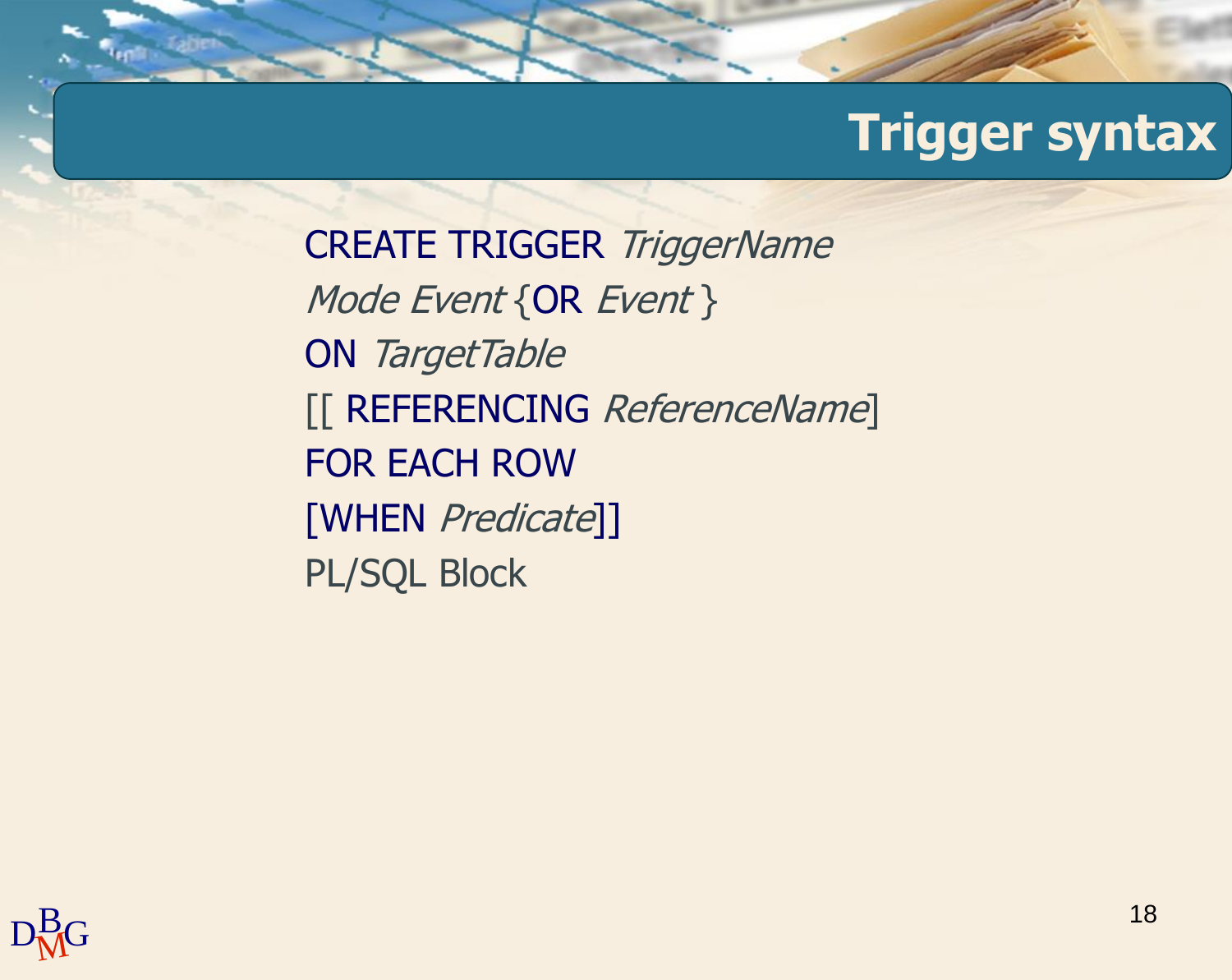CREATE TRIGGER TriggerName Mode Event {OR Event } ON TargetTable [[ REFERENCING ReferenceName] FOR EACH ROW [WHEN Predicate]] PL/SQL Block

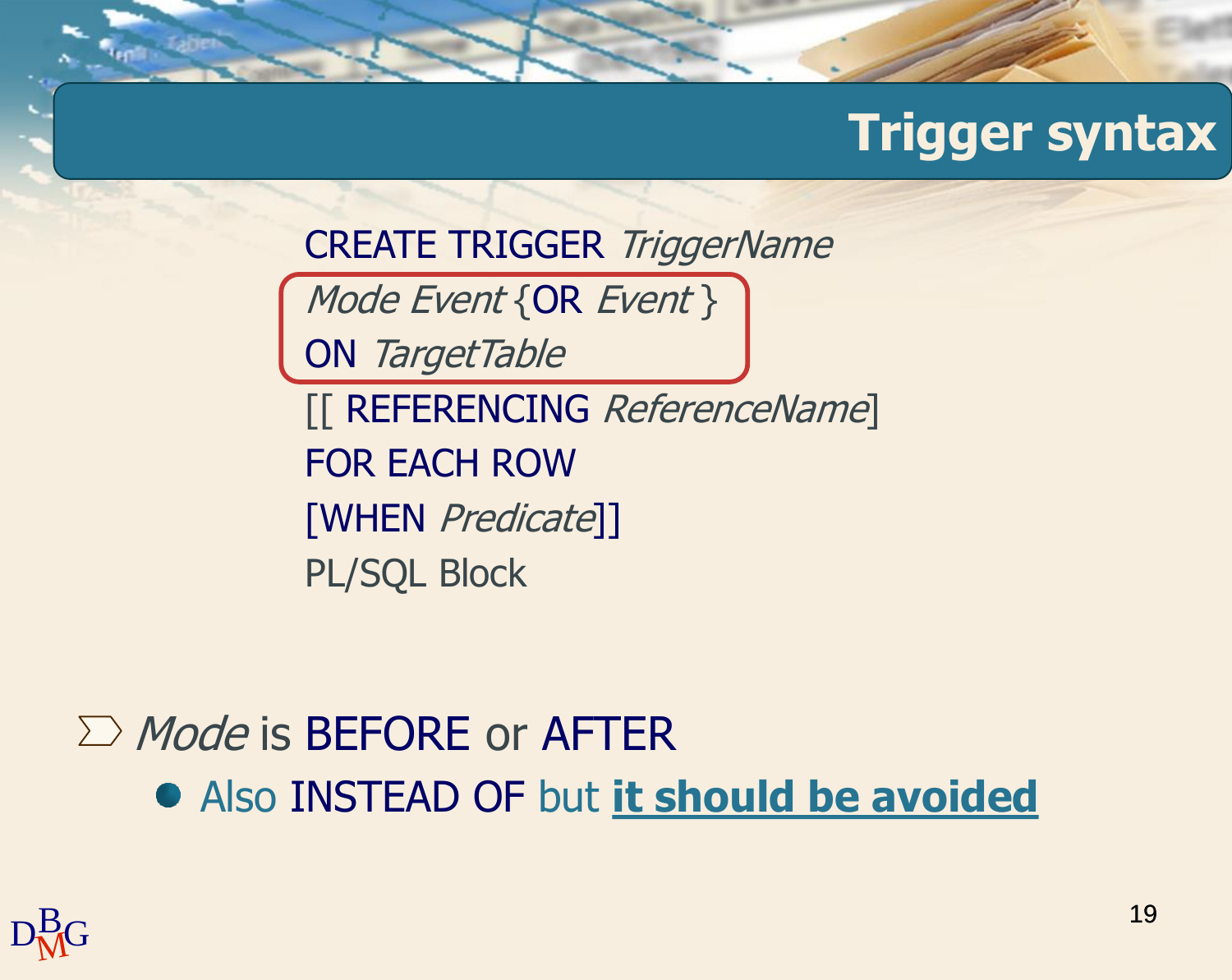CREATE TRIGGER TriggerName

Mode Event {OR Event }

ON TargetTable

[[ REFERENCING ReferenceName] FOR EACH ROW [WHEN Predicate]] PL/SQL Block

## $\sum$  *Mode* is BEFORE or AFTER Also INSTEAD OF but **it should be avoided**

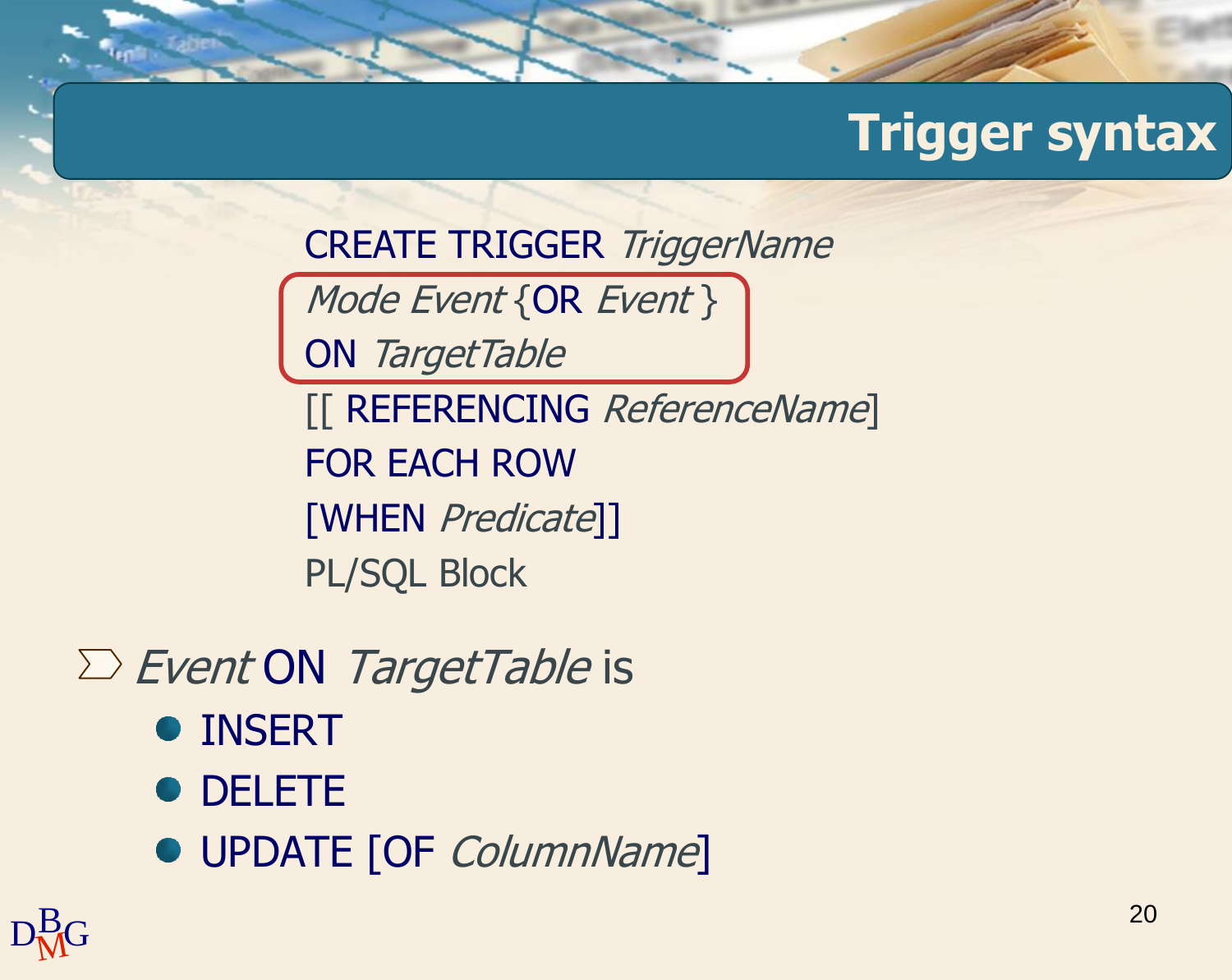CREATE TRIGGER TriggerName

Mode Event {OR Event }

ON TargetTable

[[ REFERENCING ReferenceName] FOR EACH ROW [WHEN Predicate]] PL/SQL Block

 $\Sigma$  Event ON TargetTable is

- INSERT
- DELETE
- UPDATE [OF ColumnName]

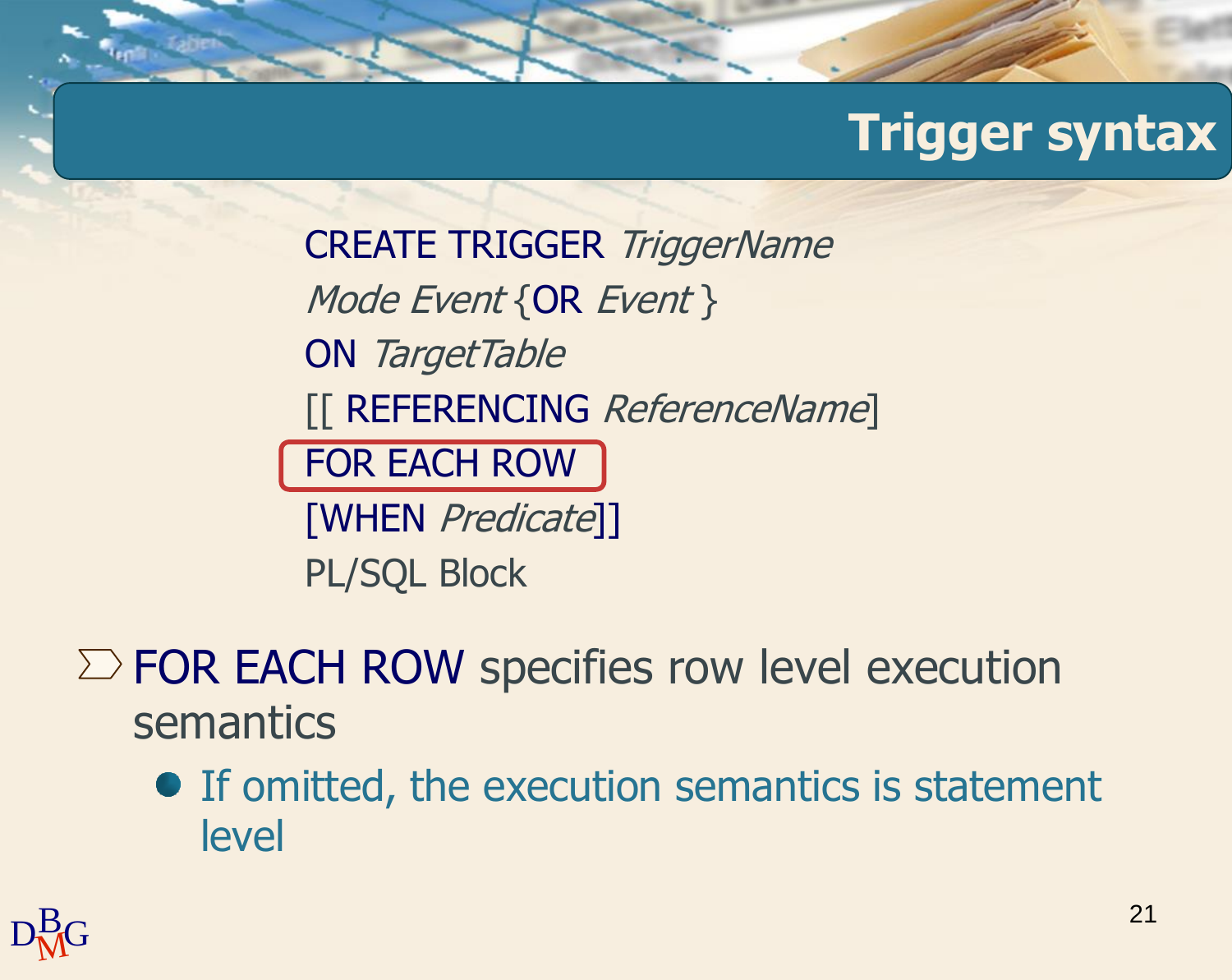CREATE TRIGGER TriggerName Mode Event {OR Event } ON TargetTable [[ REFERENCING ReferenceName] FOR EACH ROW [WHEN Predicate]] PL/SQL Block

 $\Sigma$  FOR EACH ROW specifies row level execution semantics

• If omitted, the execution semantics is statement level

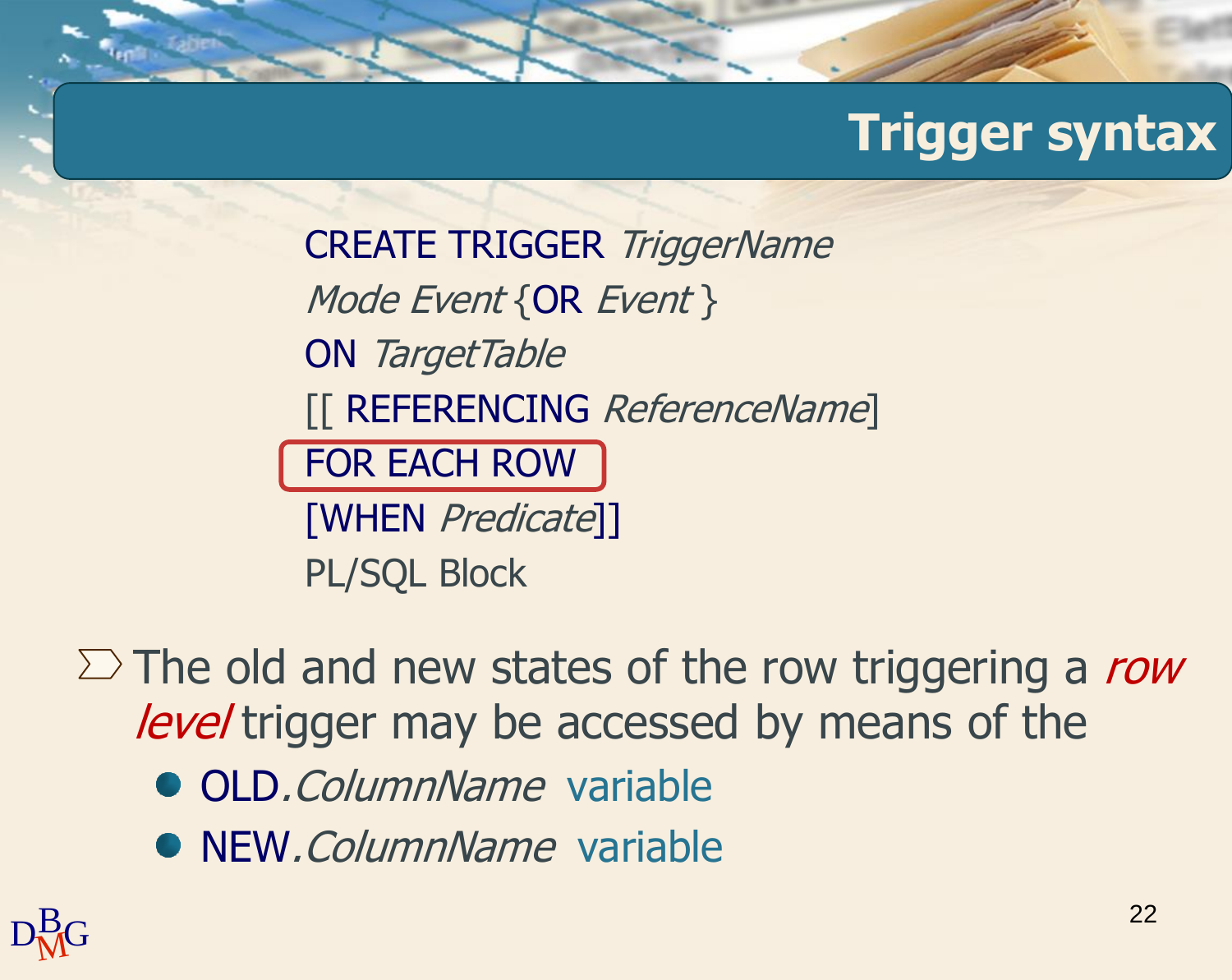CREATE TRIGGER TriggerName Mode Event {OR Event } ON TargetTable [[ REFERENCING ReferenceName] FOR EACH ROW [WHEN Predicate]] PL/SQL Block

 $\Sigma$  The old and new states of the row triggering a row level trigger may be accessed by means of the

- **OLD.** ColumnName variable
- NEW. ColumnName variable

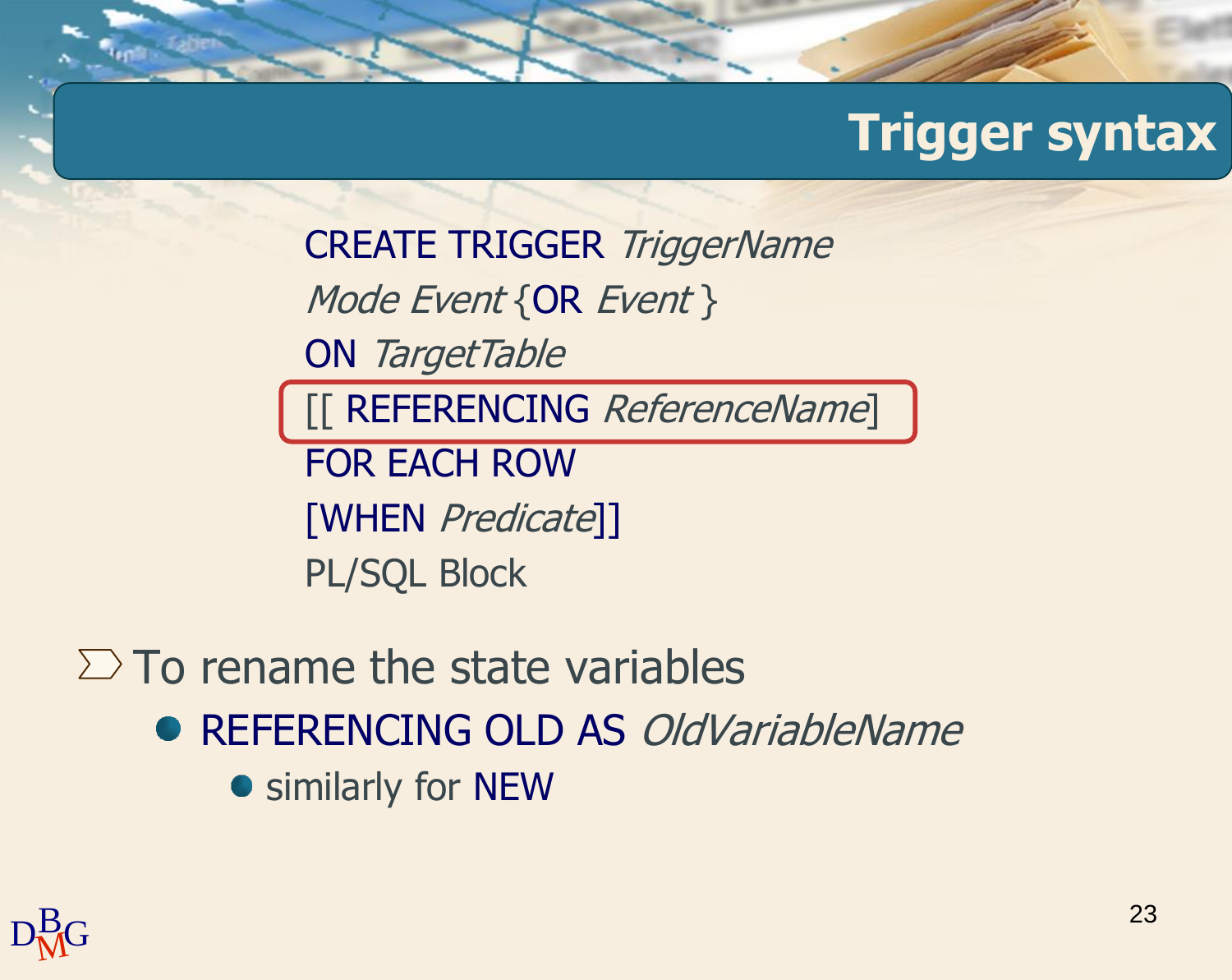CREATE TRIGGER TriggerName Mode Event {OR Event } ON TargetTable [[ REFERENCING ReferenceName] FOR EACH ROW [WHEN Predicate]] PL/SQL Block

 $\Sigma$  To rename the state variables ● REFERENCING OLD AS *OldVariableName* **•** similarly for NEW

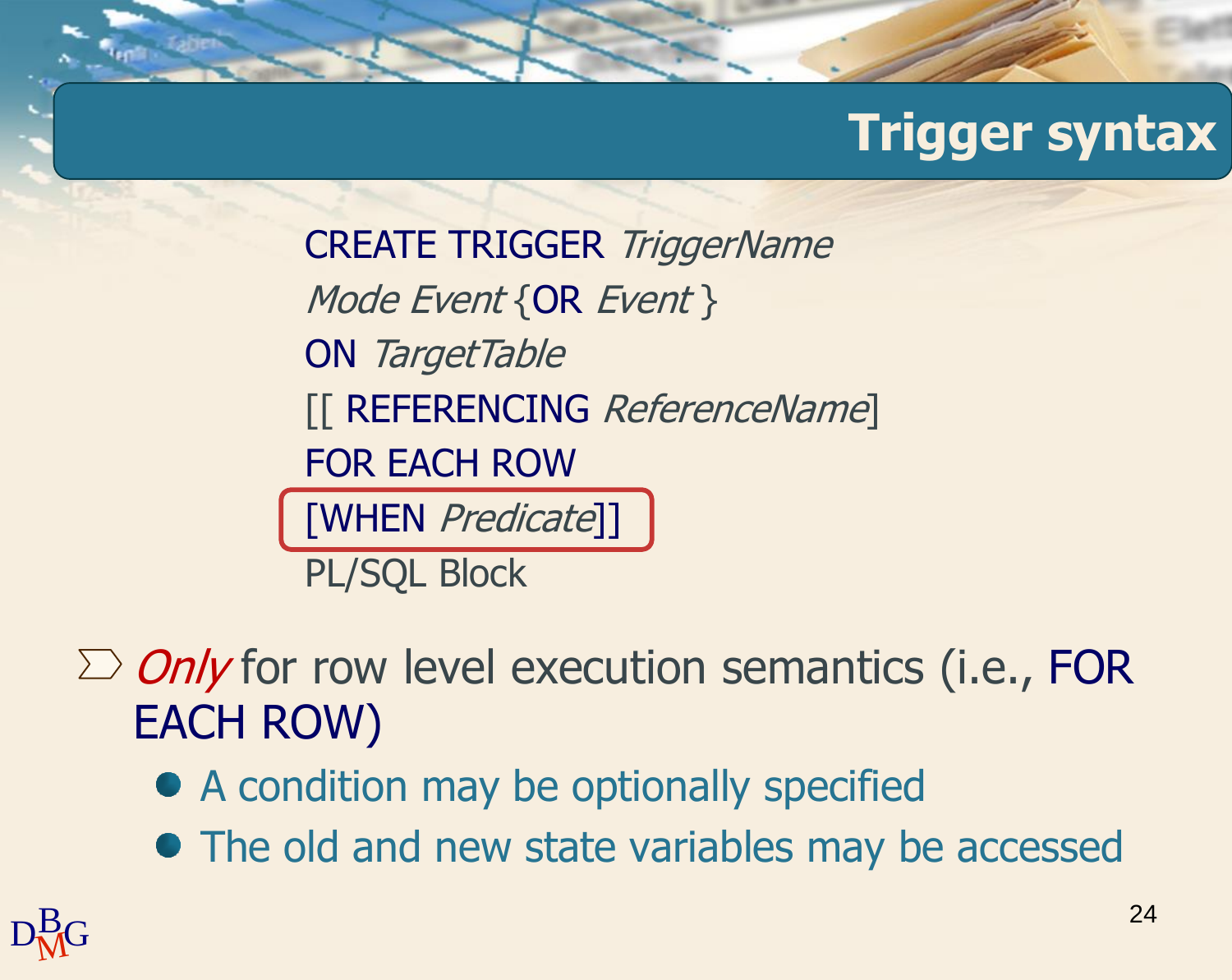CREATE TRIGGER TriggerName Mode Event {OR Event } ON TargetTable [[ REFERENCING ReferenceName] FOR EACH ROW [WHEN Predicate]]

PL/SQL Block

 $\sum$  *Only* for row level execution semantics (i.e., FOR EACH ROW)

- A condition may be optionally specified
- The old and new state variables may be accessed

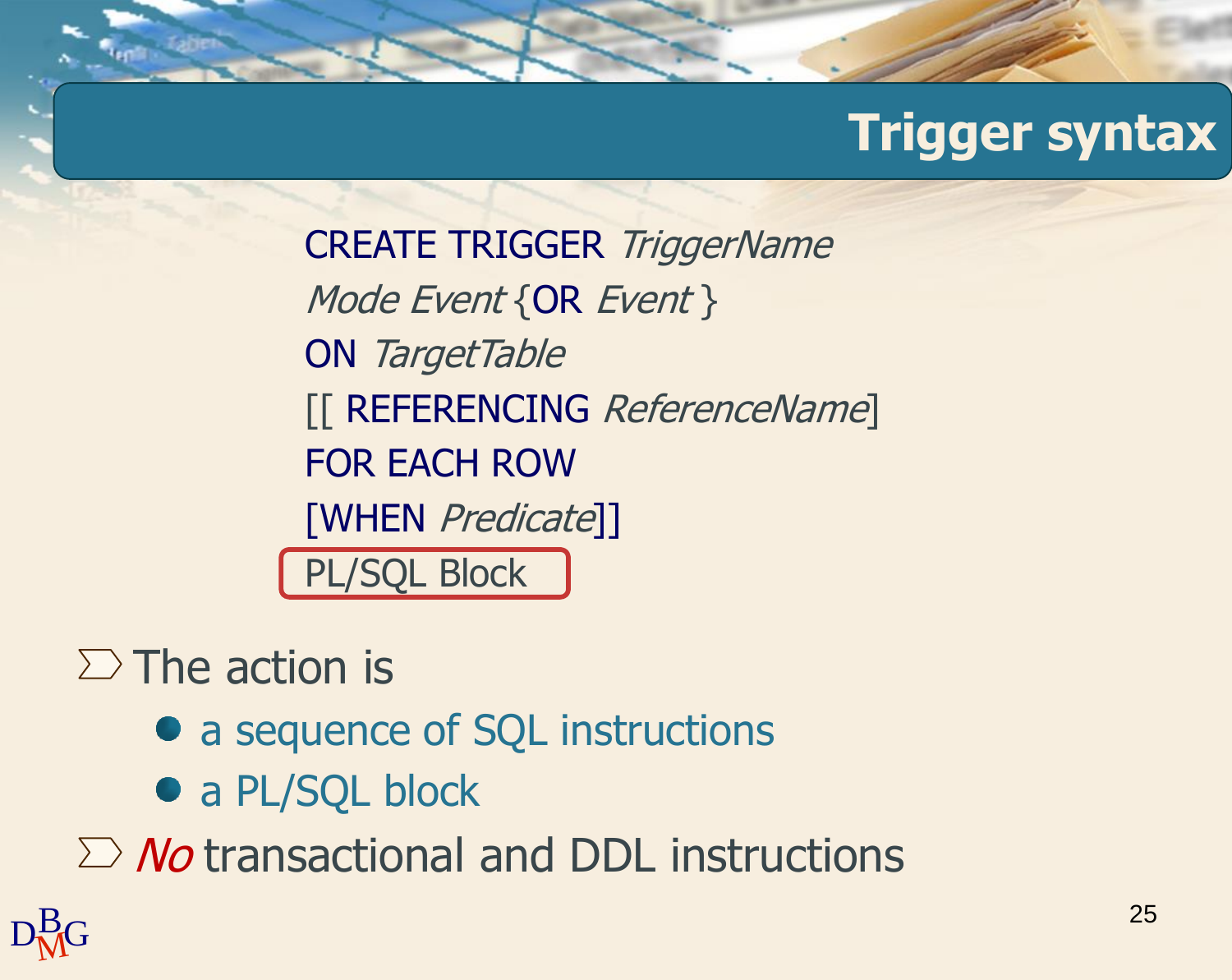CREATE TRIGGER TriggerName Mode Event {OR Event } ON TargetTable [[ REFERENCING ReferenceName] FOR EACH ROW [WHEN Predicate]] PL/SQL Block

 $\Sigma$  The action is

- a sequence of SQL instructions
- a PL/SQL block

 $\sum$  *No* transactional and DDL instructions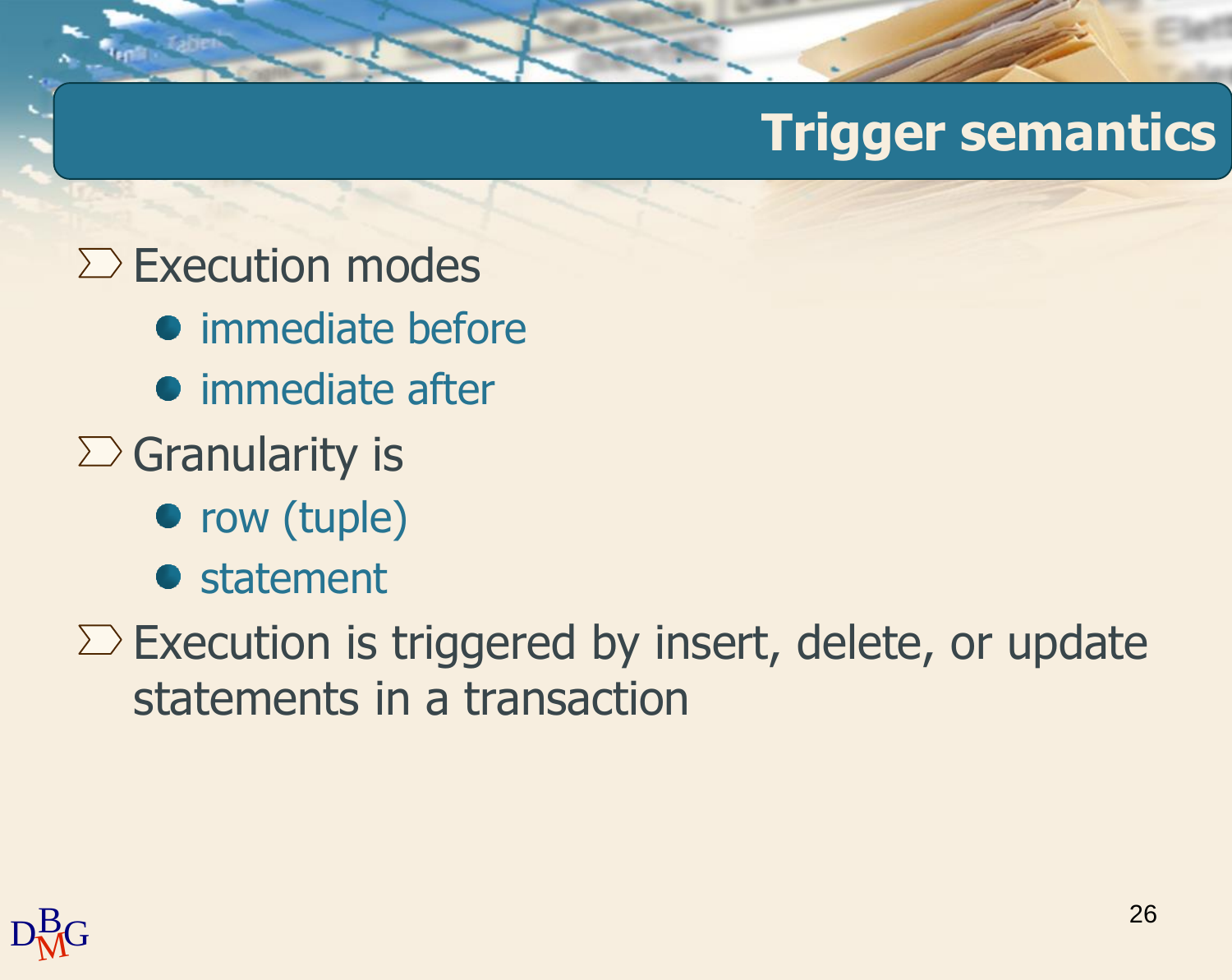## **Trigger semantics**

- $\Sigma$  Execution modes
	- immediate before
	- **•** immediate after
- $\sum$  Granularity is
	- row (tuple)
	- **•** statement
- $\Sigma$  Execution is triggered by insert, delete, or update statements in a transaction

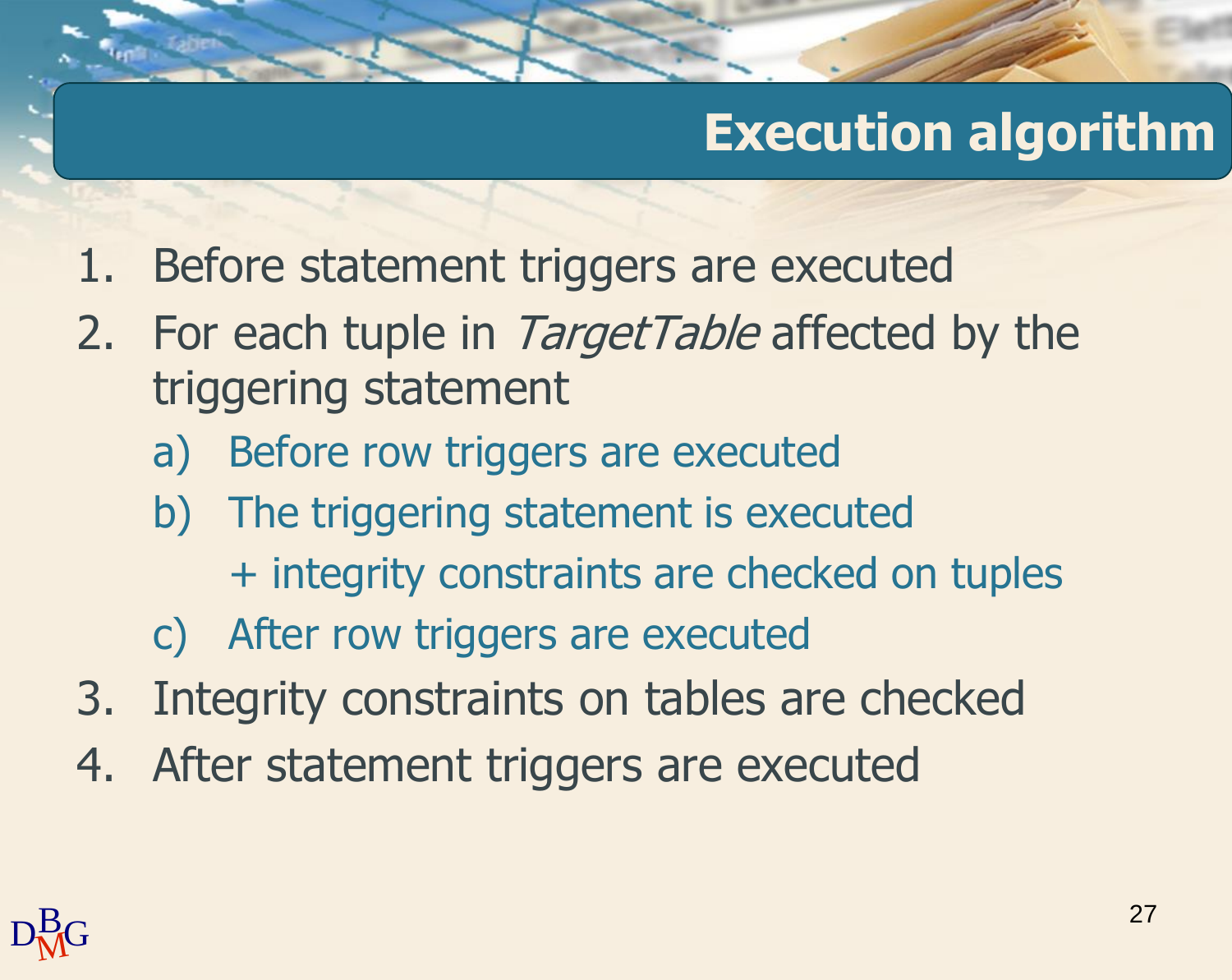## **Execution algorithm**

- 1. Before statement triggers are executed
- 2. For each tuple in TargetTable affected by the triggering statement
	- a) Before row triggers are executed
	- b) The triggering statement is executed + integrity constraints are checked on tuples
	- c) After row triggers are executed
- 3. Integrity constraints on tables are checked
- 4. After statement triggers are executed

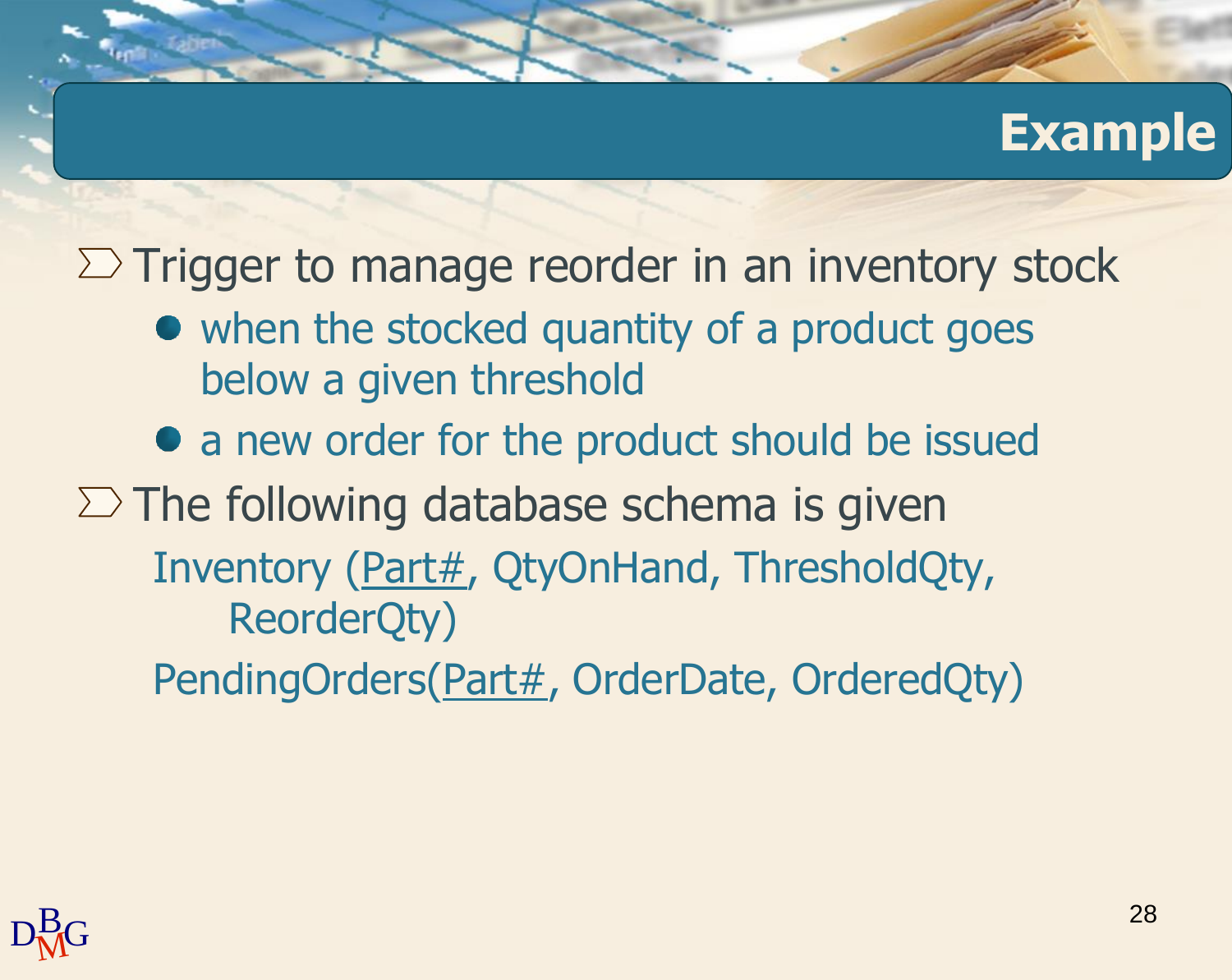#### **Example**

 $\Sigma$  Trigger to manage reorder in an inventory stock

- when the stocked quantity of a product goes below a given threshold
- a new order for the product should be issued

 $\Sigma$  The following database schema is given Inventory (Part#, QtyOnHand, ThresholdQty, ReorderQty) PendingOrders(Part#, OrderDate, OrderedQty)

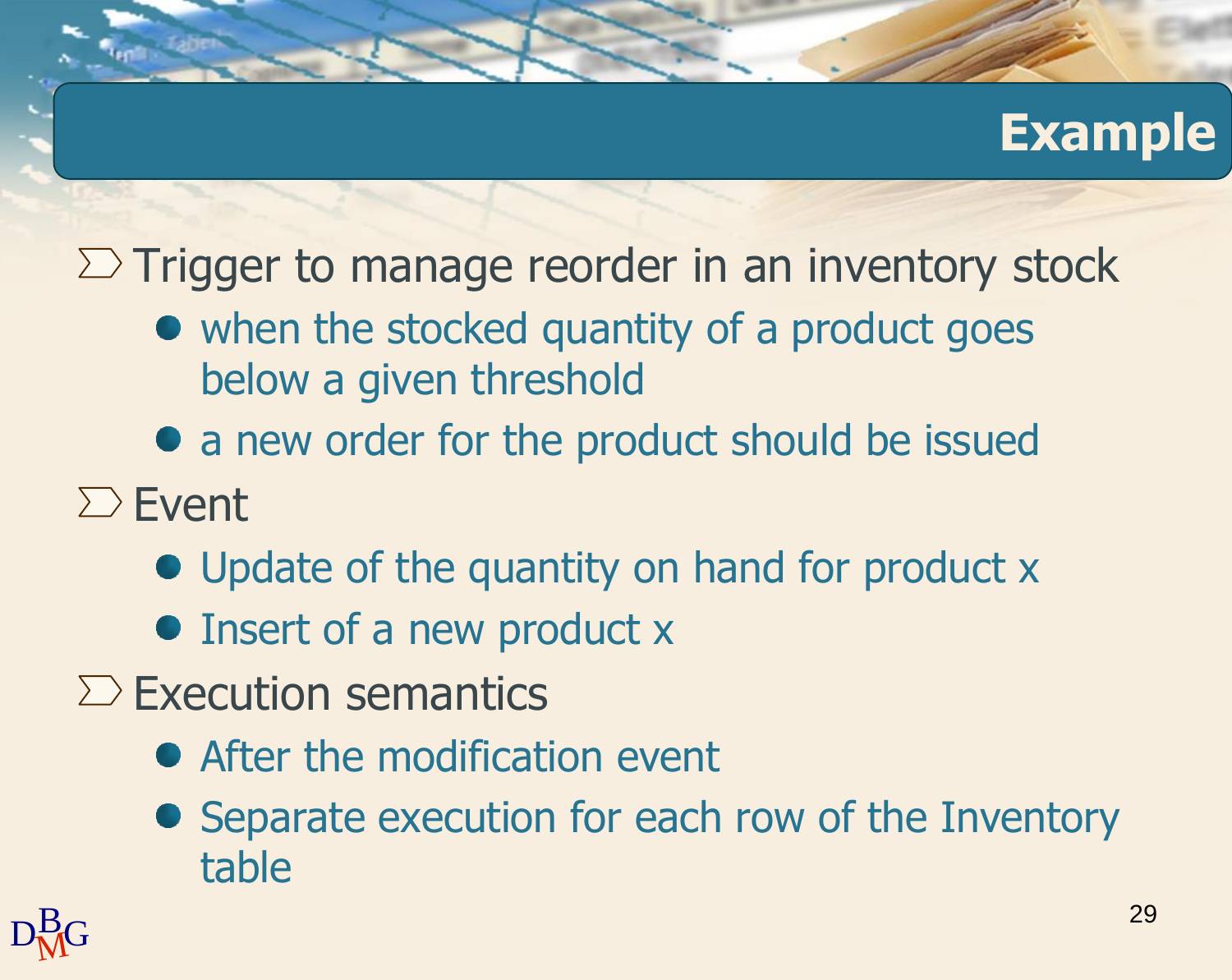### **Example**

 $\Sigma$  Trigger to manage reorder in an inventory stock

- when the stocked quantity of a product goes below a given threshold
- a new order for the product should be issued
- $\sum$  Event
	- Update of the quantity on hand for product x
	- Insert of a new product x
- $\sum$  Execution semantics
	- After the modification event
	- Separate execution for each row of the Inventory table

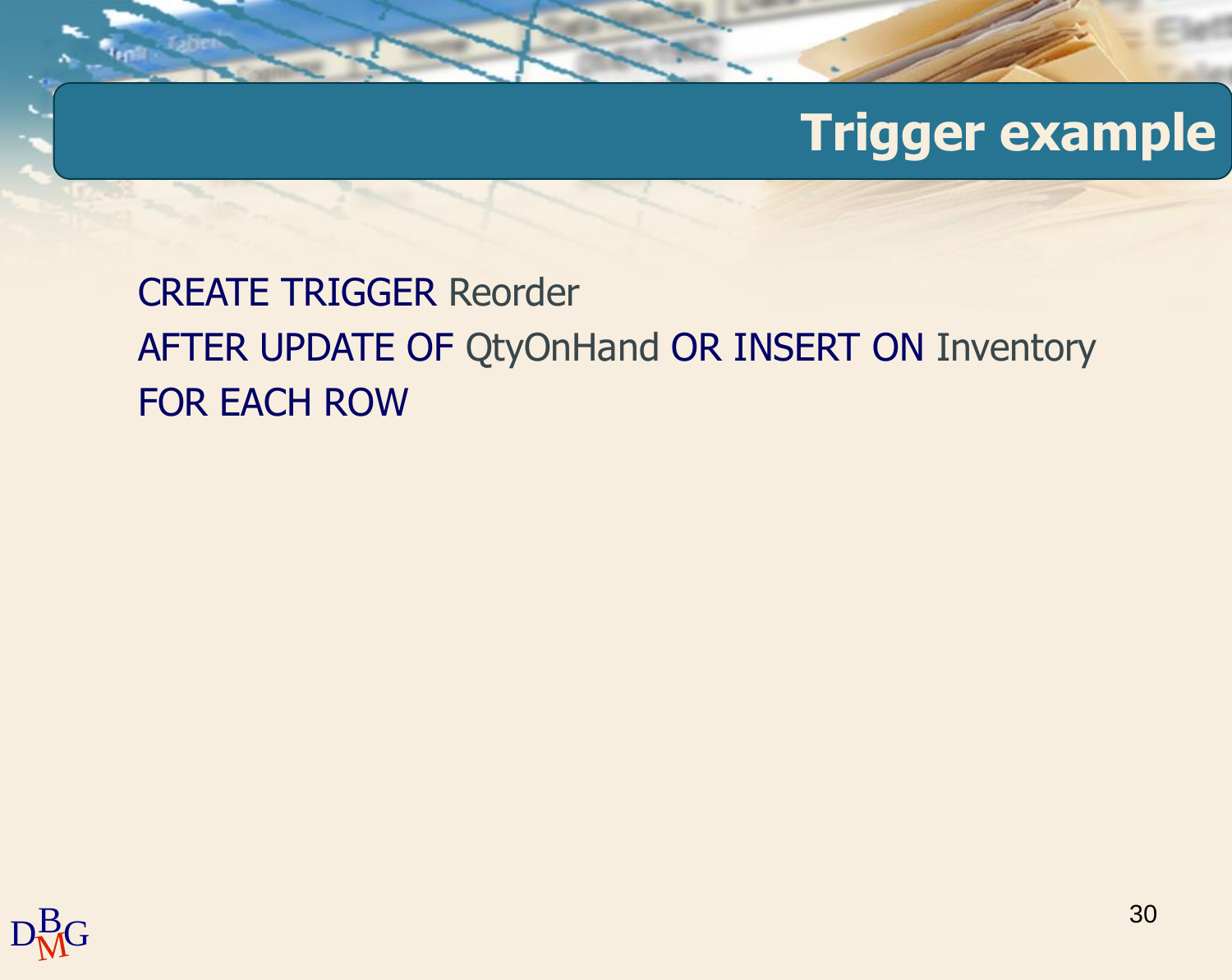### **Trigger example**

#### CREATE TRIGGER Reorder AFTER UPDATE OF QtyOnHand OR INSERT ON Inventory FOR EACH ROW

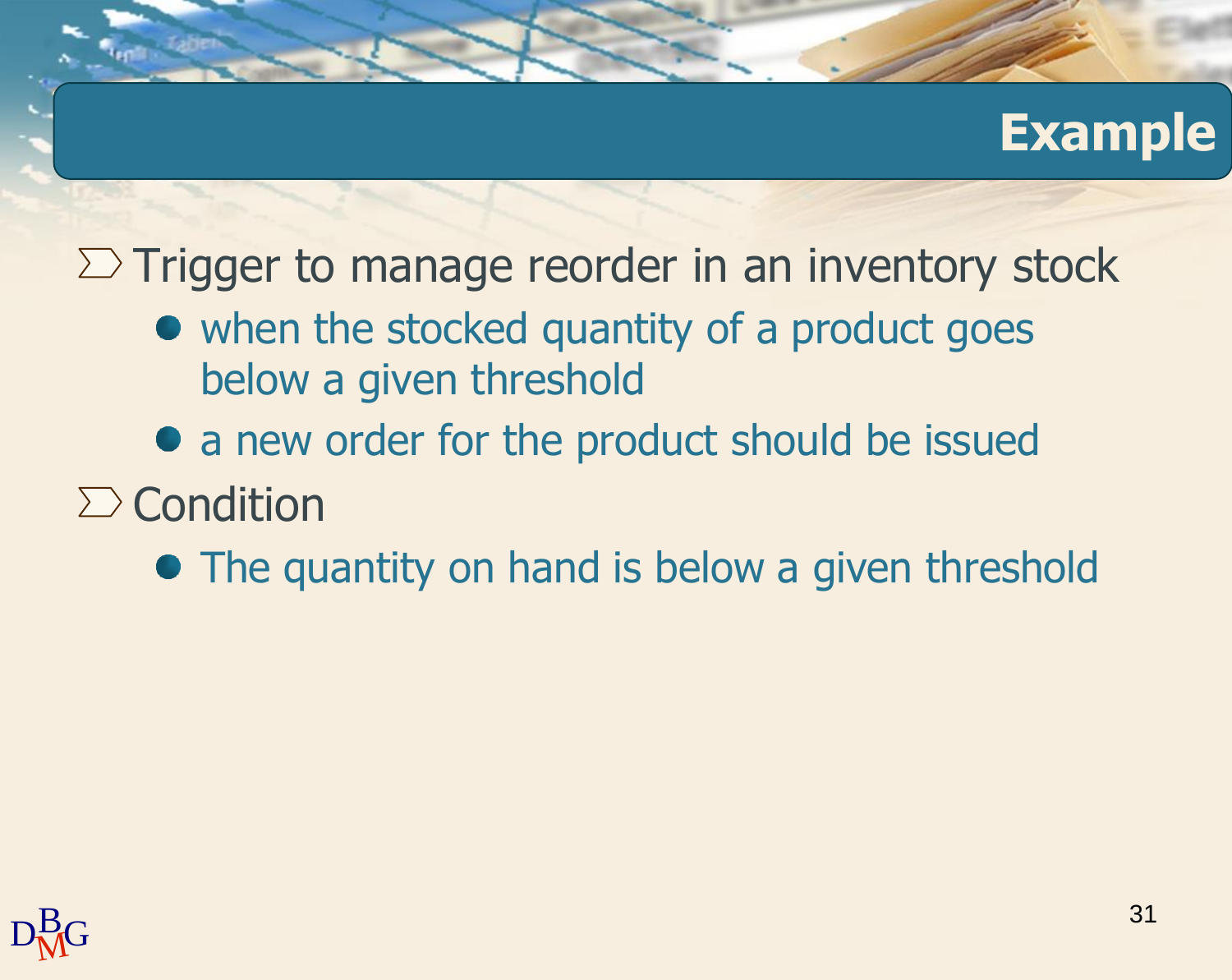#### **Example**

 $\Sigma$  Trigger to manage reorder in an inventory stock

- when the stocked quantity of a product goes below a given threshold
- a new order for the product should be issued
- $\sum$  Condition
	- The quantity on hand is below a given threshold

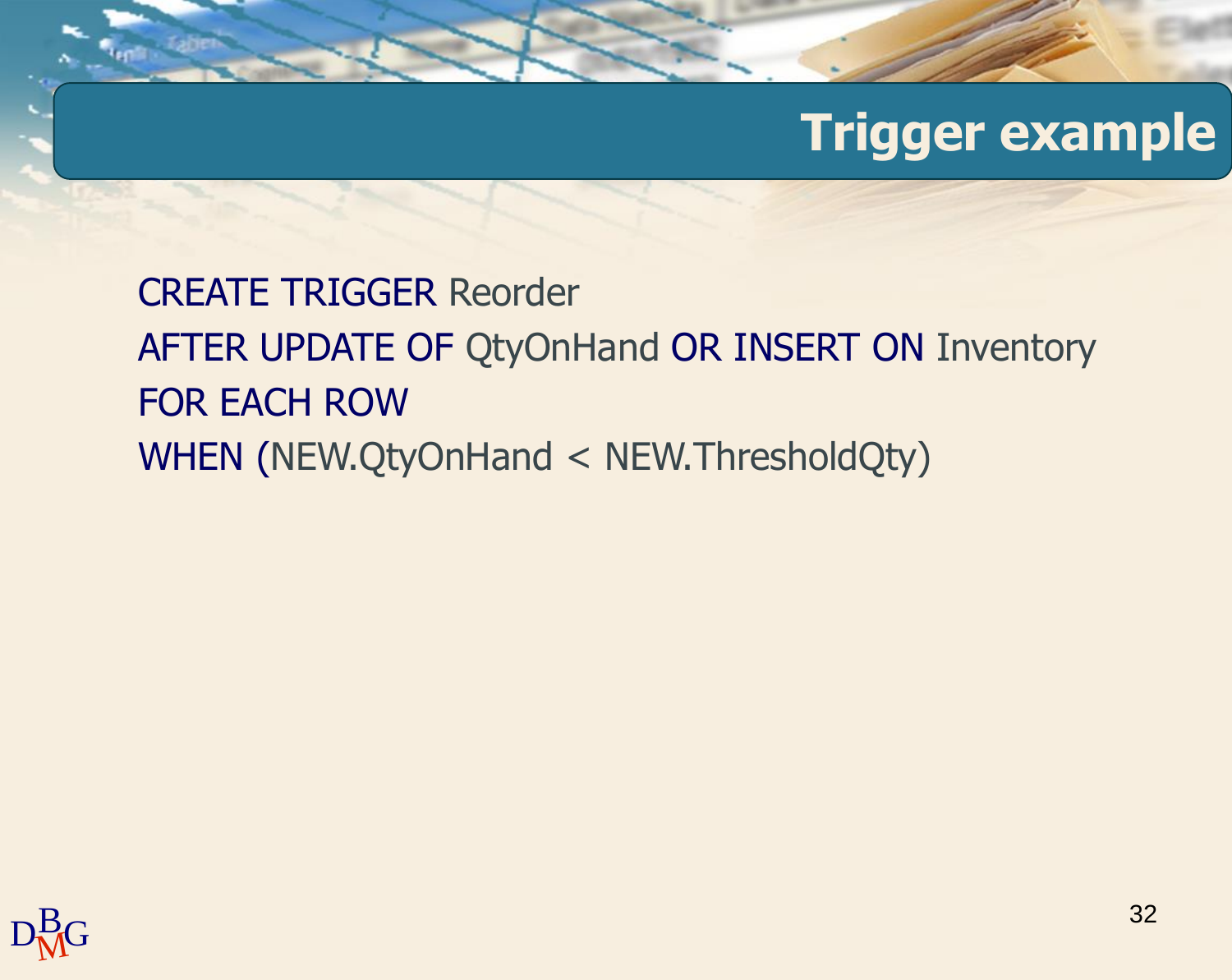#### **Trigger example**

CREATE TRIGGER Reorder AFTER UPDATE OF QtyOnHand OR INSERT ON Inventory FOR EACH ROW WHEN (NEW.QtyOnHand < NEW.ThresholdQty)

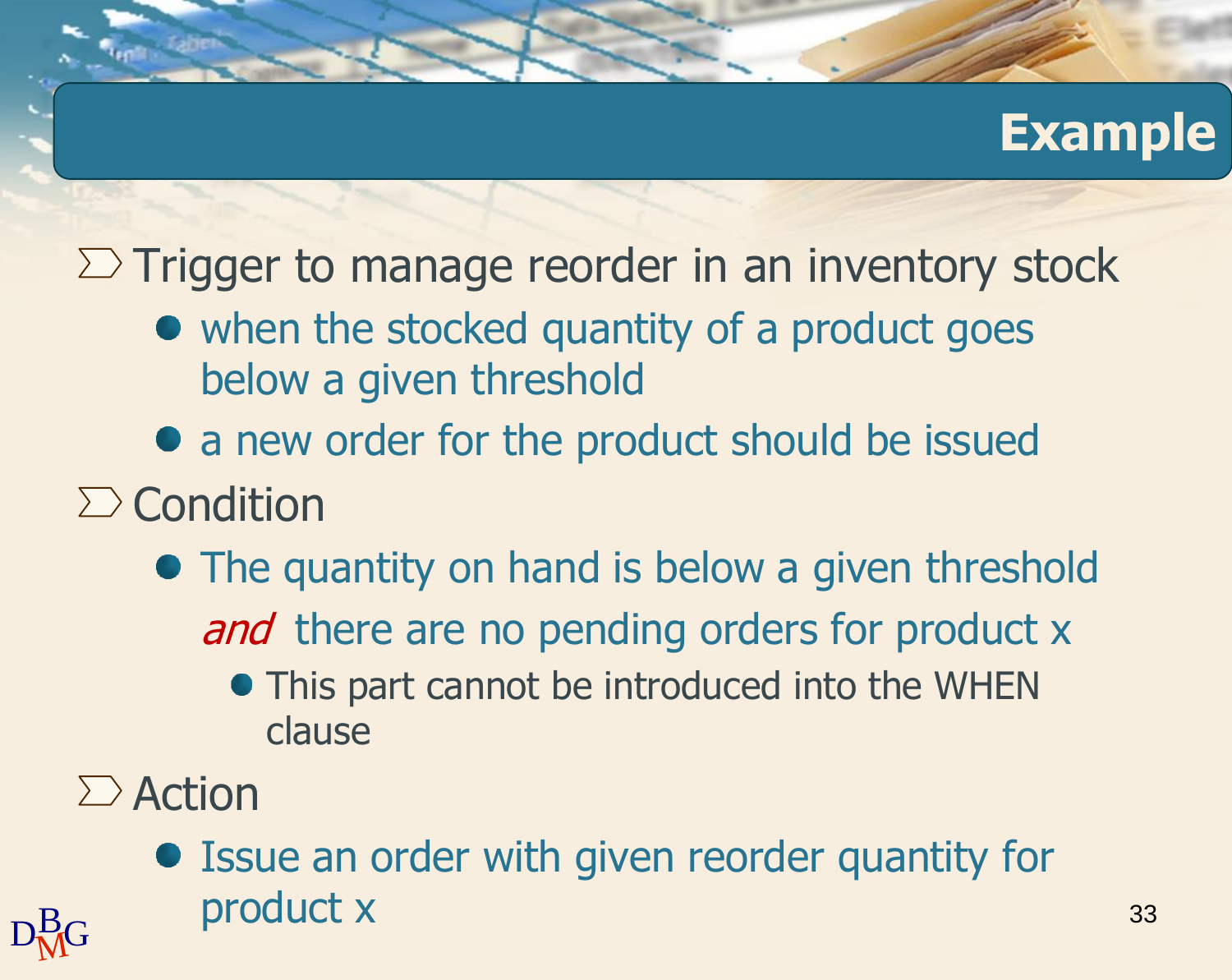### **Example**

 $\Sigma$  Trigger to manage reorder in an inventory stock

- when the stocked quantity of a product goes below a given threshold
- a new order for the product should be issued
- $\sum$  Condition
	- The quantity on hand is below a given threshold and there are no pending orders for product x
		- This part cannot be introduced into the WHEN clause
- $\sum$  Action
- $D_{\rm MG}^{\rm B}$  product x  $^{33}$ Issue an order with given reorder quantity for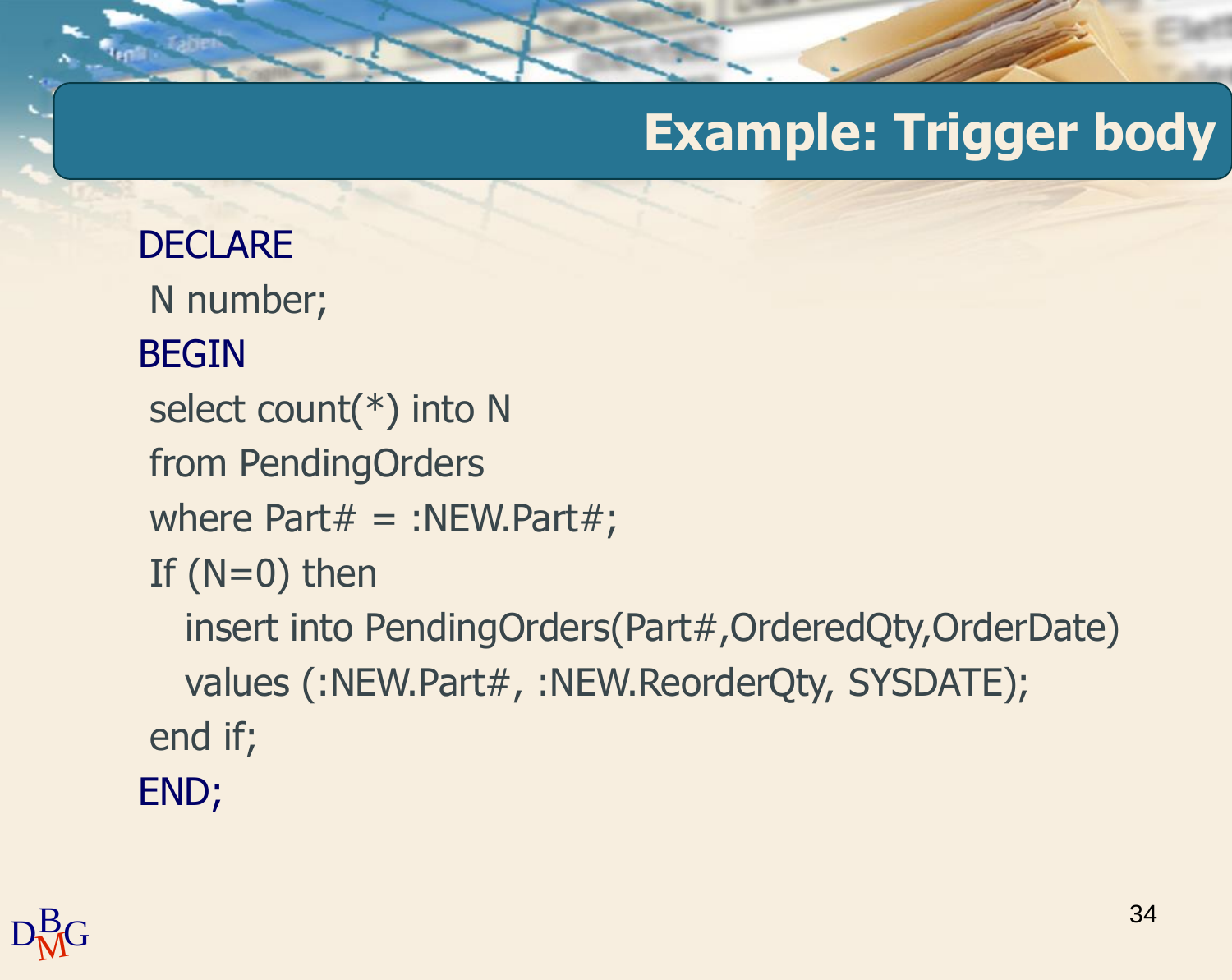## **Example: Trigger body**

```
DECLARE
N number;
BEGIN
select count(*) into N
from PendingOrders
where Part# = :NEW.Part#;If (N=0) then
  insert into PendingOrders(Part#,OrderedQty,OrderDate)
  values (:NEW.Part#, :NEW.ReorderQty, SYSDATE);
end if;
END;
```
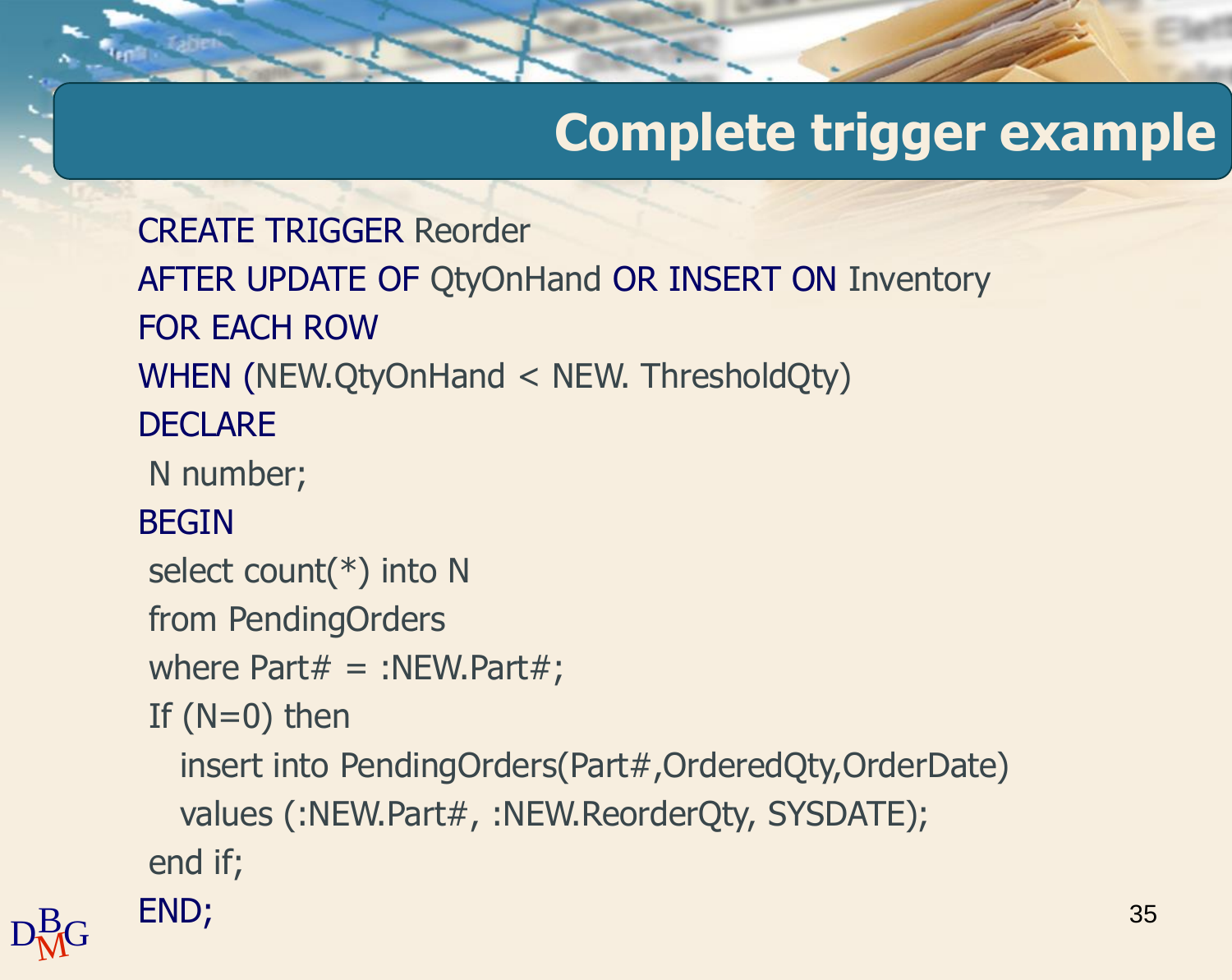## **Complete trigger example**

35

 $D_{\rm MG}^{\rm B}$  END; CREATE TRIGGER Reorder AFTER UPDATE OF QtyOnHand OR INSERT ON Inventory FOR EACH ROW WHEN (NEW.QtyOnHand < NEW. ThresholdQty) **DECLARE** N number; BEGIN select count(\*) into N from PendingOrders where Part $#$  = :NEW.Part $#$ ; If  $(N=0)$  then insert into PendingOrders(Part#,OrderedQty,OrderDate) values (:NEW.Part#, :NEW.ReorderQty, SYSDATE); end if; END;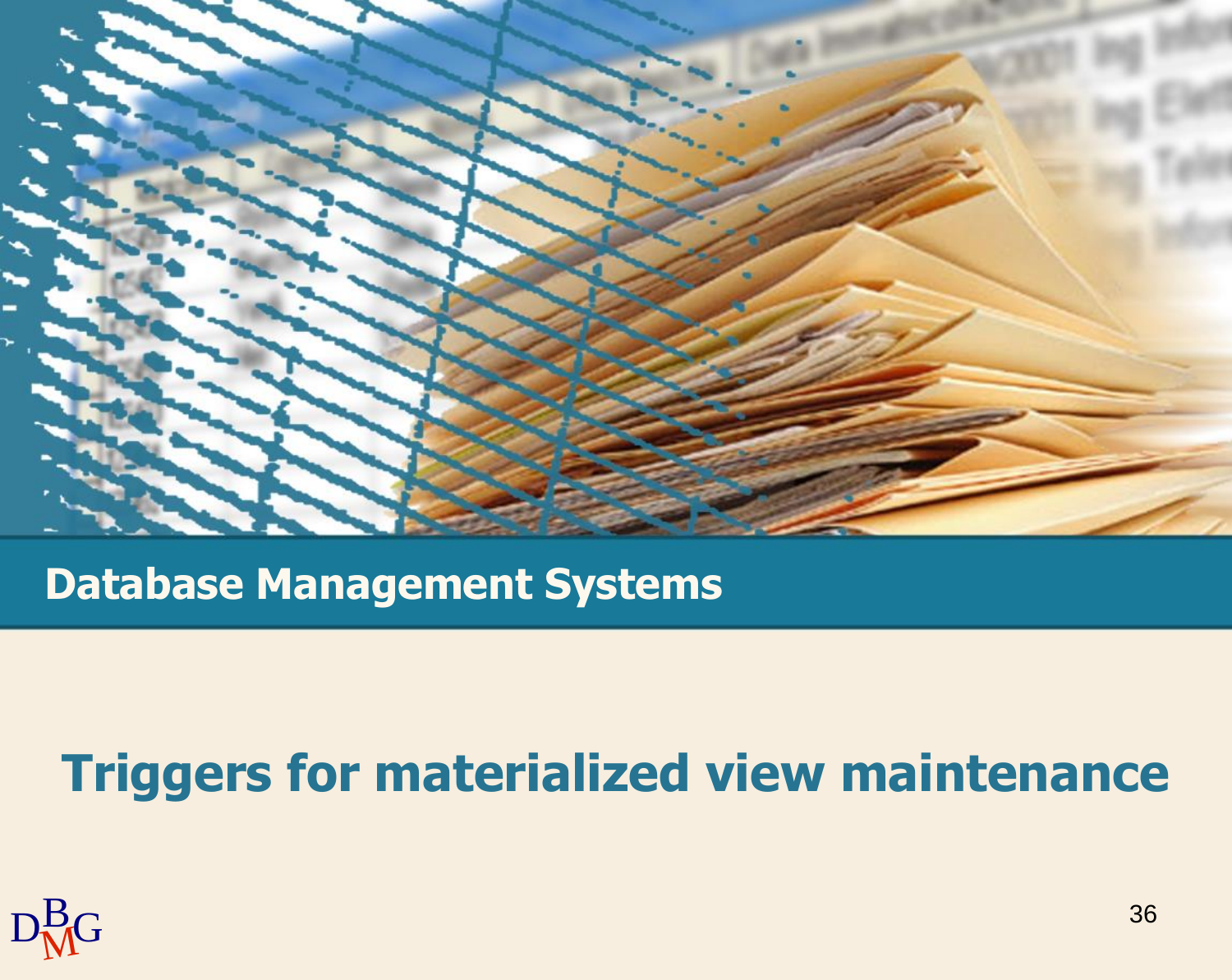

**Database Management Systems**

### **Triggers for materialized view maintenance**

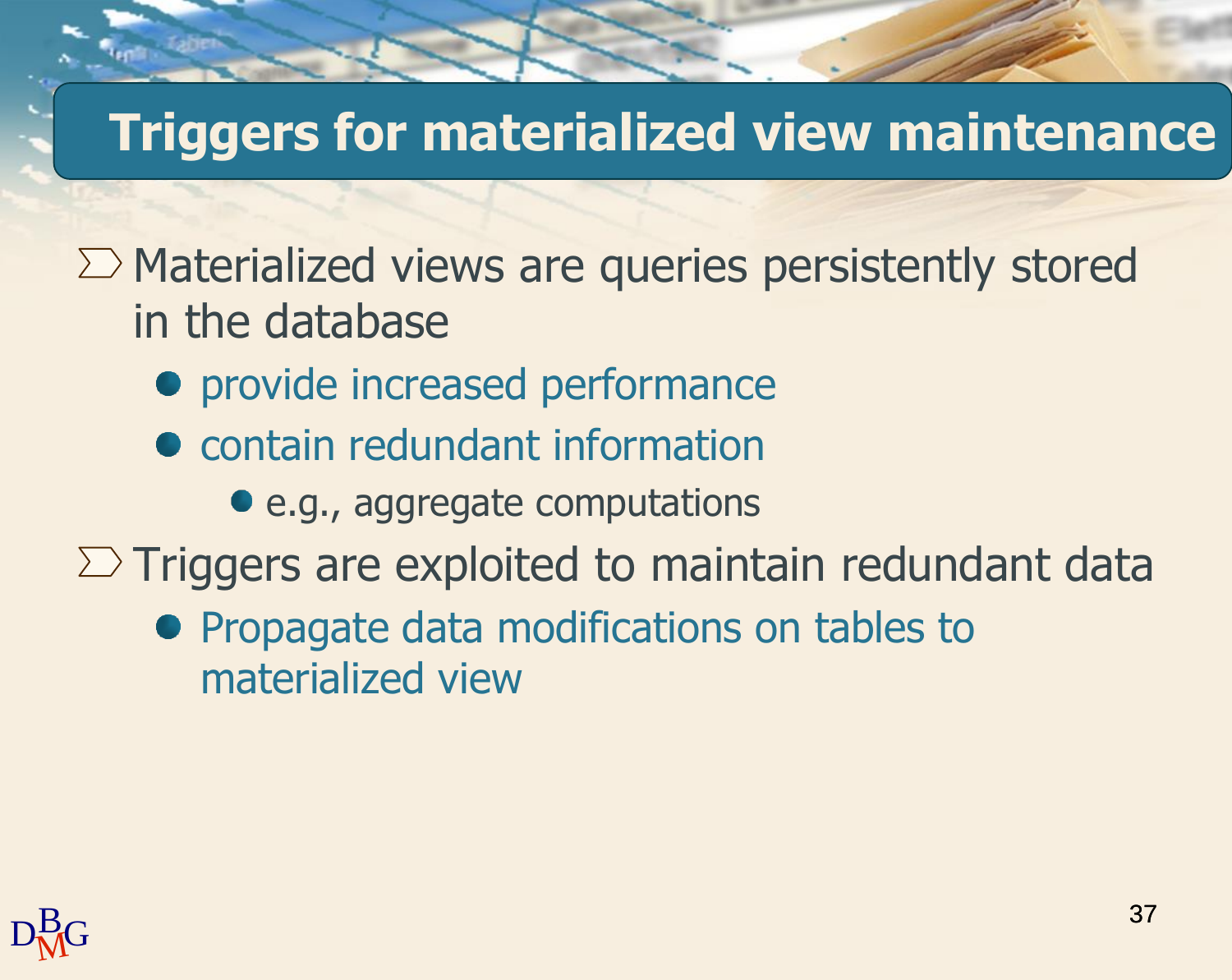## **Triggers for materialized view maintenance**

 $\Sigma$  Materialized views are queries persistently stored in the database

- **•** provide increased performance
- **contain redundant information** 
	- e.g., aggregate computations

 $\Sigma$  Triggers are exploited to maintain redundant data

• Propagate data modifications on tables to materialized view

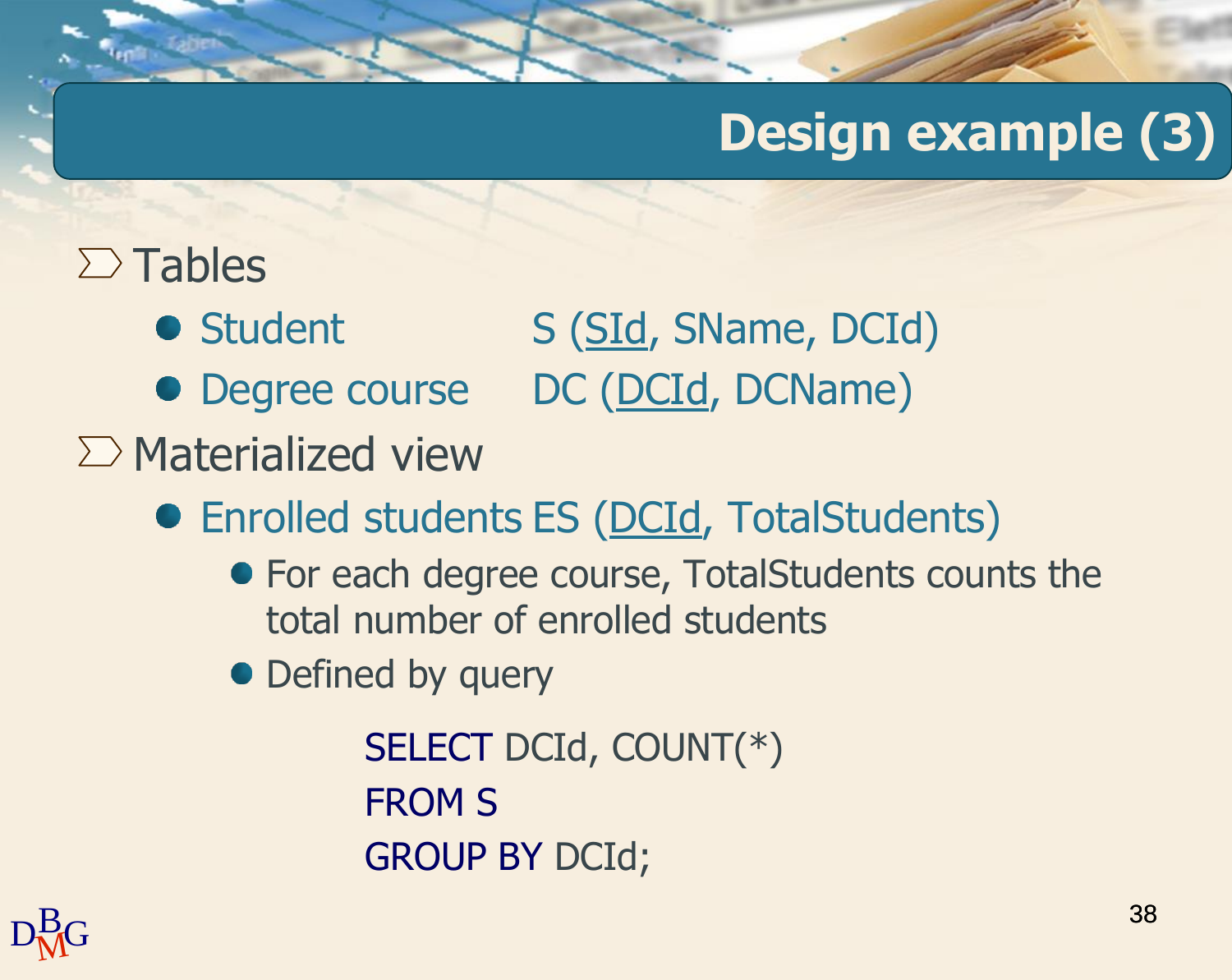### $\sum$  Tables

- Student S (SId, SName, DCId)
- Degree course DC (DCId, DCName)
- $\sum$  Materialized view
	- Enrolled students ES (DCId, TotalStudents)
		- For each degree course, TotalStudents counts the total number of enrolled students
		- Defined by query

SELECT DCId, COUNT(\*) FROM S GROUP BY DCId;

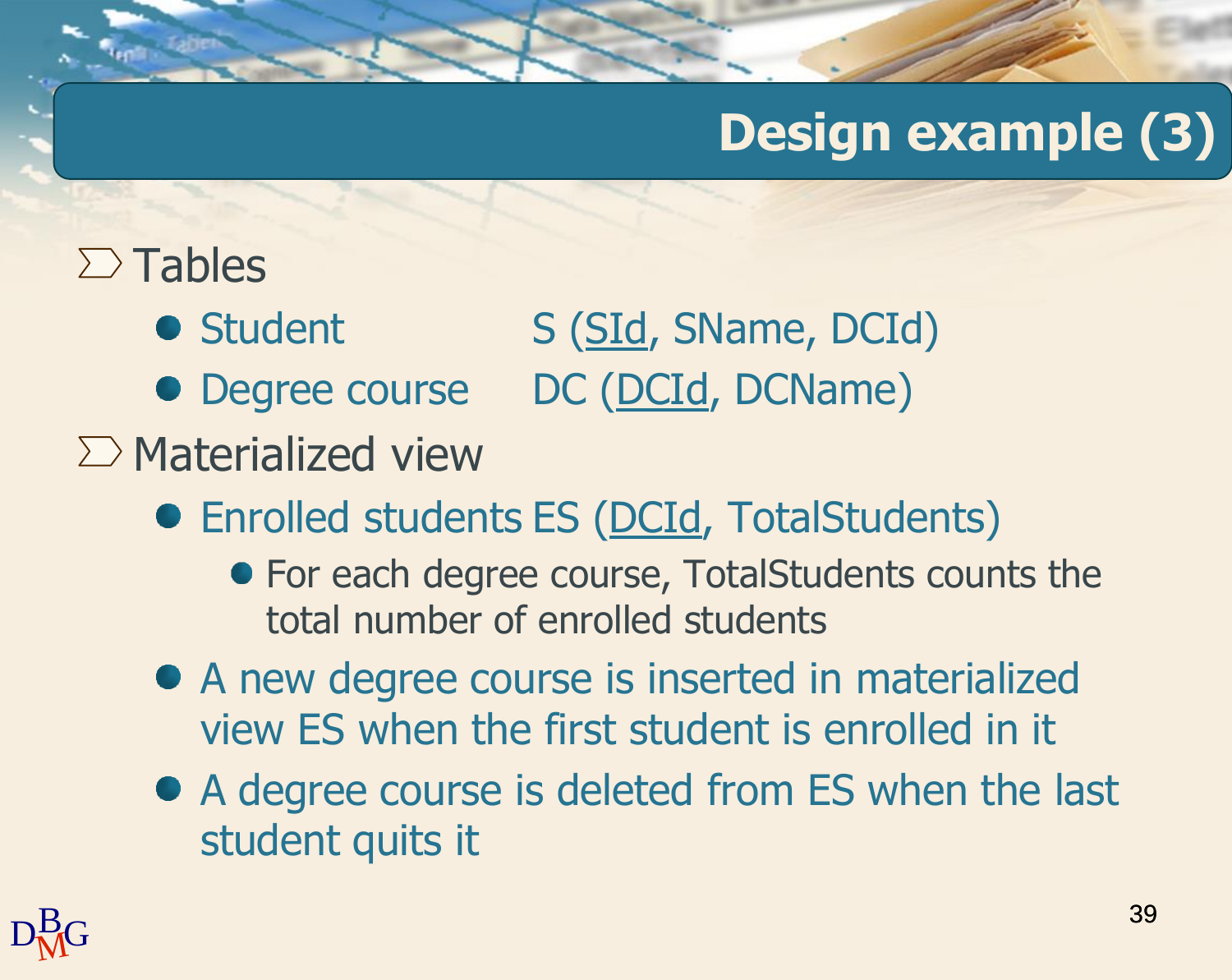### $\sum$  Tables

- Student S (SId, SName, DCId)
- Degree course DC (DCId, DCName)
- $\sum$  Materialized view
	- Enrolled students ES (DCId, TotalStudents)
		- For each degree course, TotalStudents counts the total number of enrolled students
	- A new degree course is inserted in materialized view ES when the first student is enrolled in it
	- A degree course is deleted from ES when the last student quits it

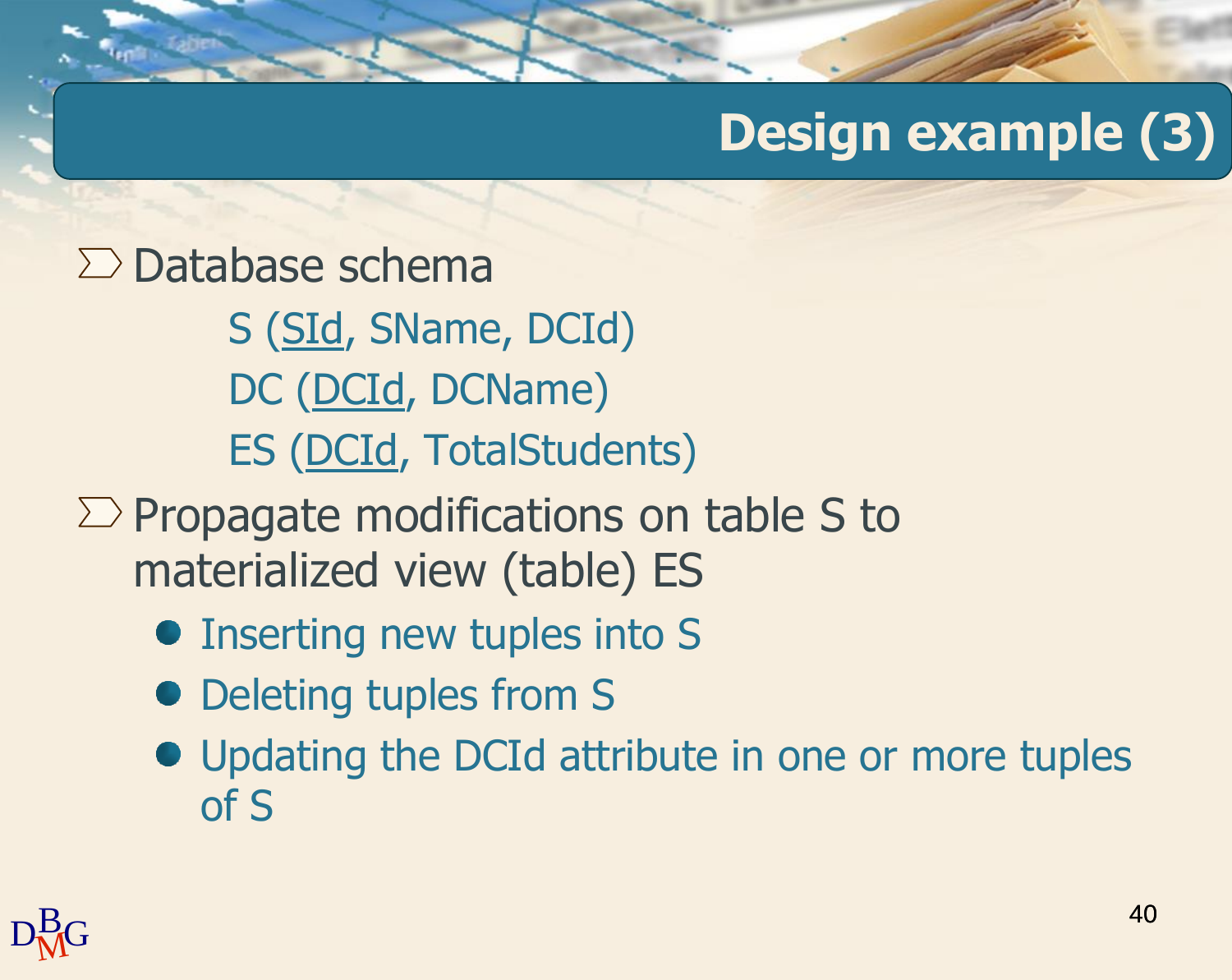#### $\sum$  Database schema

S (SId, SName, DCId) DC (DCId, DCName) ES (DCId, TotalStudents)

- $\Sigma$  Propagate modifications on table S to materialized view (table) ES
	- Inserting new tuples into S
	- Deleting tuples from S
	- Updating the DCId attribute in one or more tuples of S

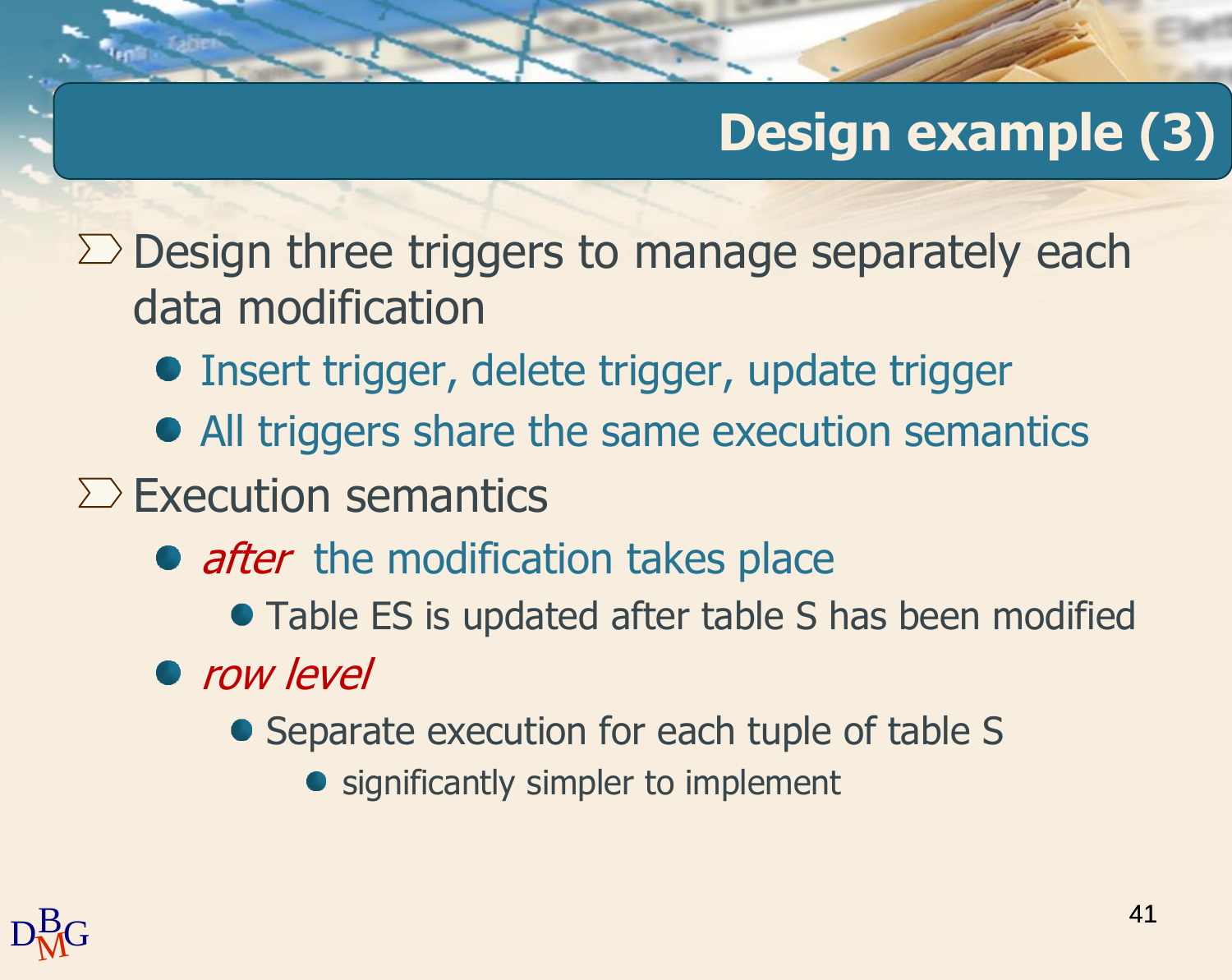$\Sigma$  Design three triggers to manage separately each data modification

- **Insert trigger, delete trigger, update trigger**
- All triggers share the same execution semantics
- $\sum$  Execution semantics
	- after the modification takes place
		- Table ES is updated after table S has been modified
	- row level
		- Separate execution for each tuple of table S
			- significantly simpler to implement

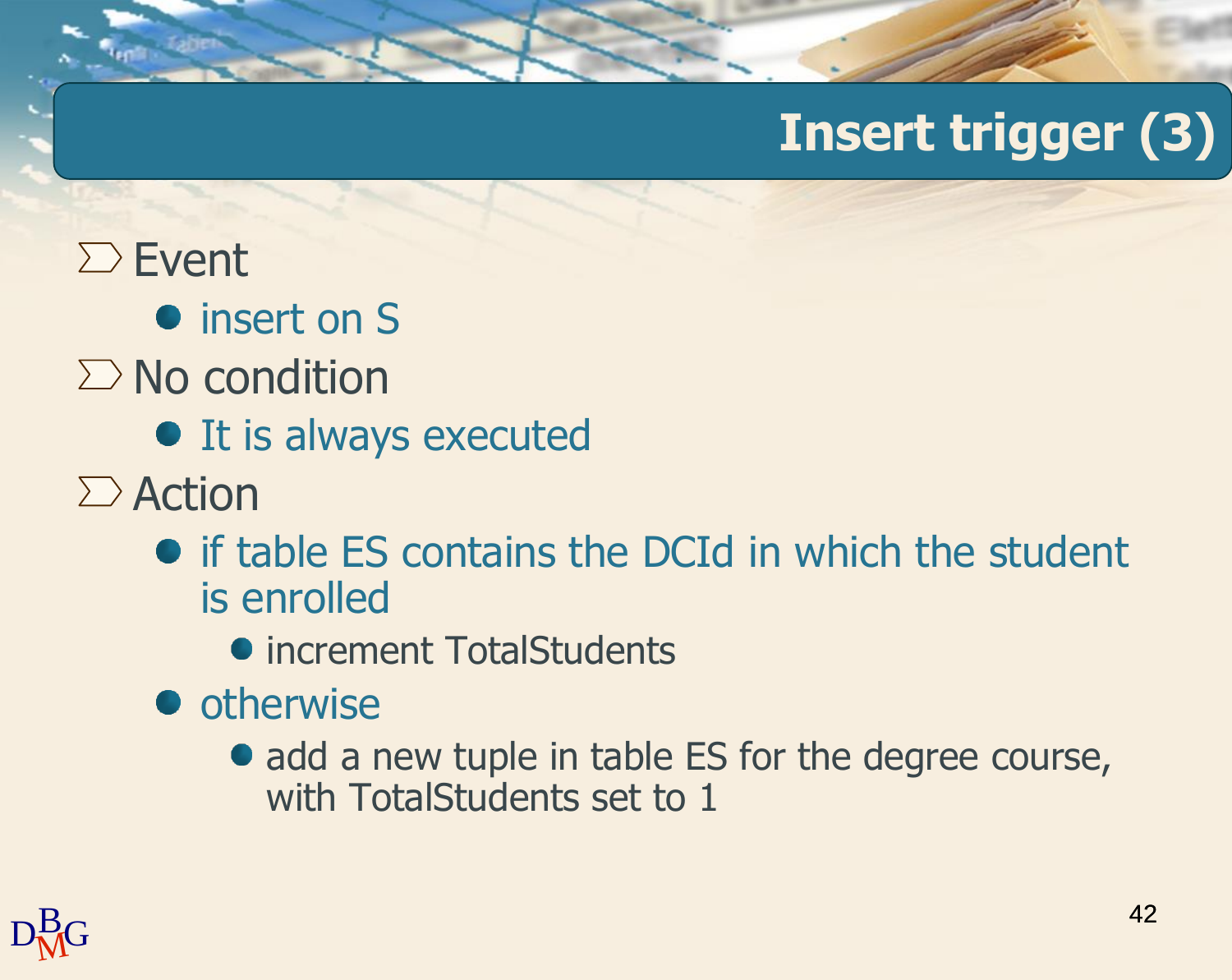#### $\Sigma$  Event

- **•** insert on S
- $\sum$  No condition
	- It is always executed
- $\sum$  Action
	- if table ES contains the DCId in which the student is enrolled
		- increment TotalStudents
	- otherwise
		- add a new tuple in table ES for the degree course, with TotalStudents set to 1

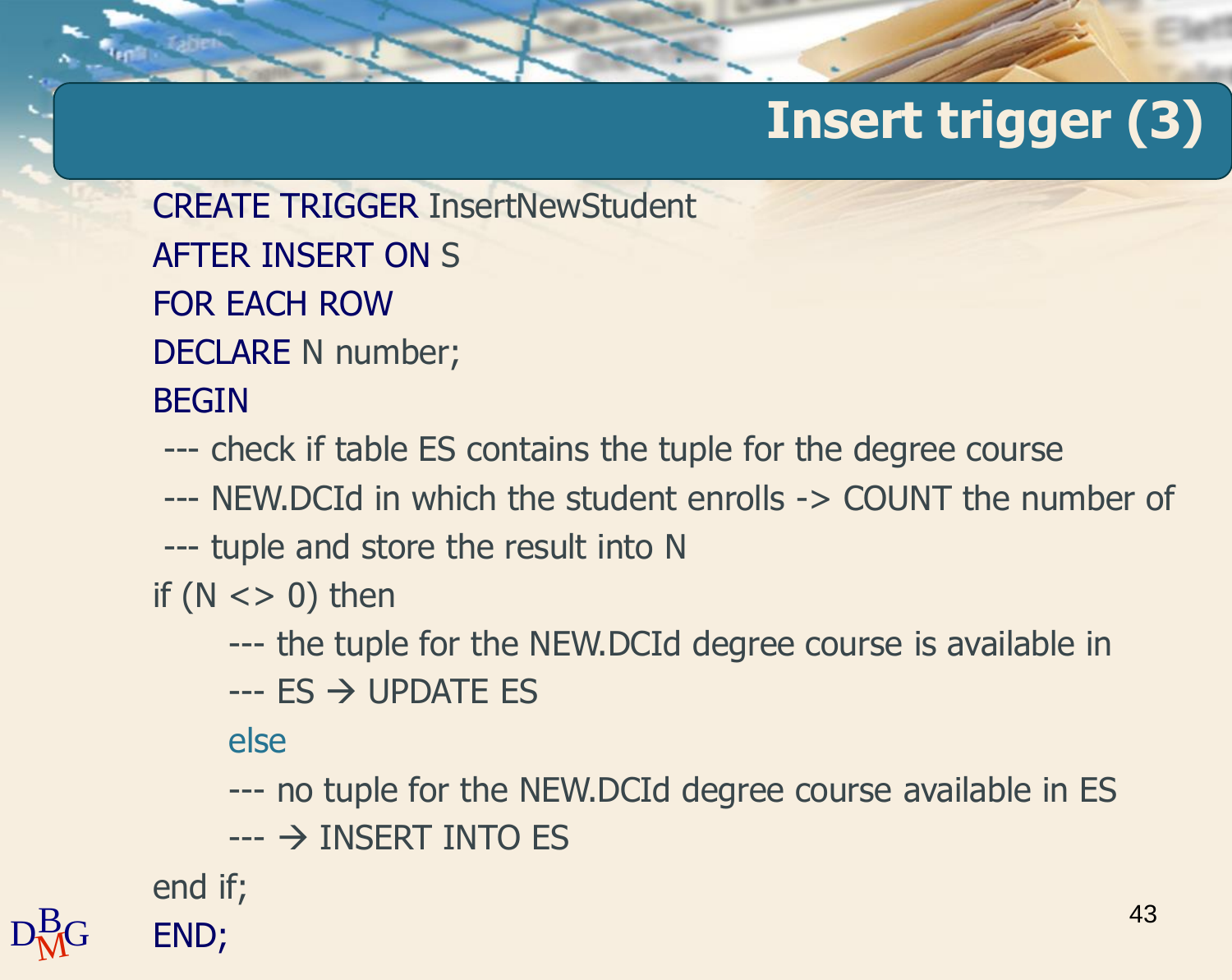CREATE TRIGGER InsertNewStudent AFTER INSERT ON S FOR EACH ROW DECLARE N number;

#### BEGIN

--- check if table ES contains the tuple for the degree course

- --- NEW.DCId in which the student enrolls -> COUNT the number of
- --- tuple and store the result into N

if  $(N \lt > 0)$  then

- --- the tuple for the NEW.DCId degree course is available in
- $-$ -- ES  $\rightarrow$  UPDATE ES

else

--- no tuple for the NEW.DCId degree course available in ES  $\leftarrow$   $\rightarrow$  INSERT INTO ES

end if;

43

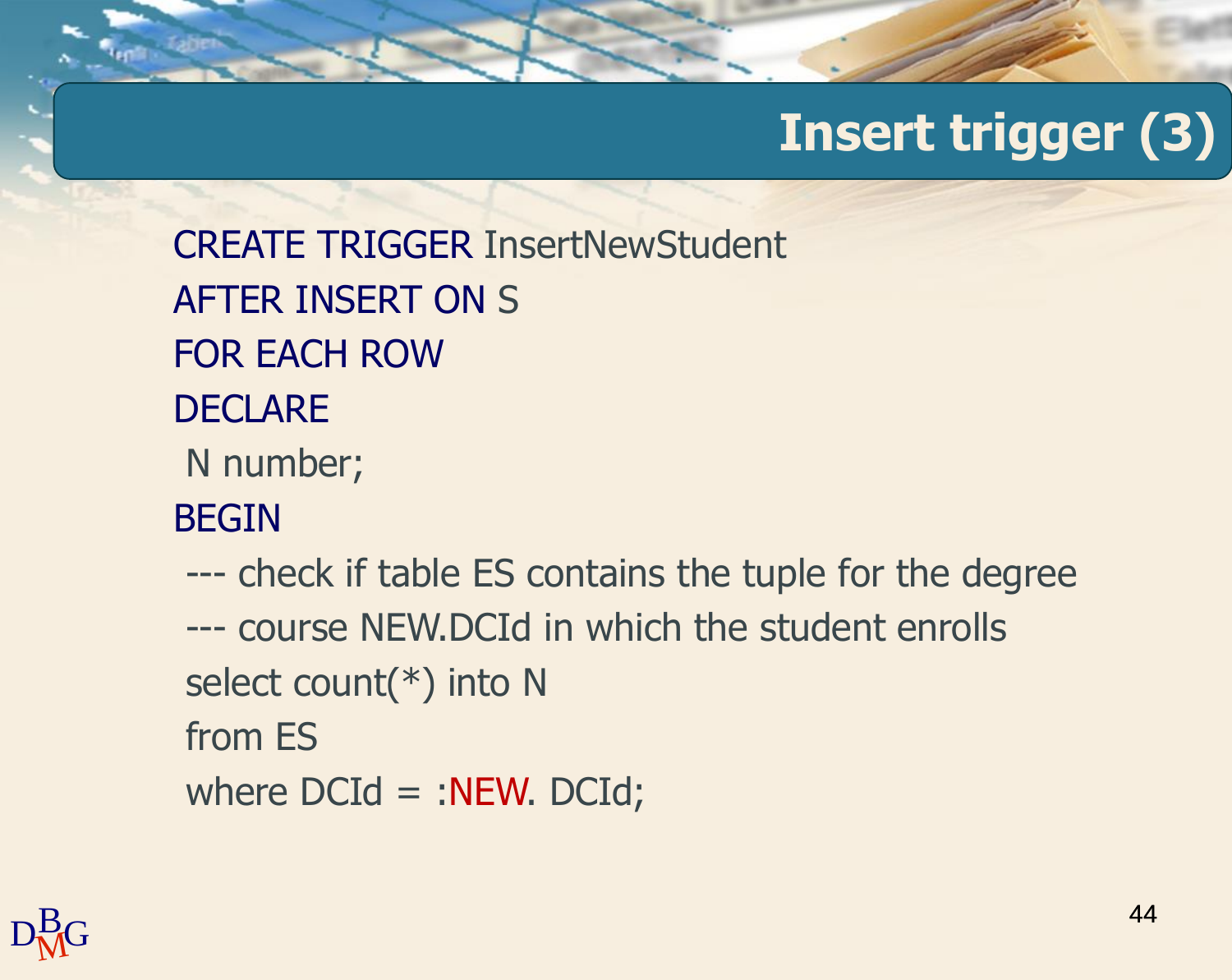CREATE TRIGGER InsertNewStudent AFTER INSERT ON S FOR EACH ROW **DECLARE** N number; BEGIN --- check if table ES contains the tuple for the degree --- course NEW.DCId in which the student enrolls select count(\*) into N from ES where  $DCd = :NEW. DCd;$ 

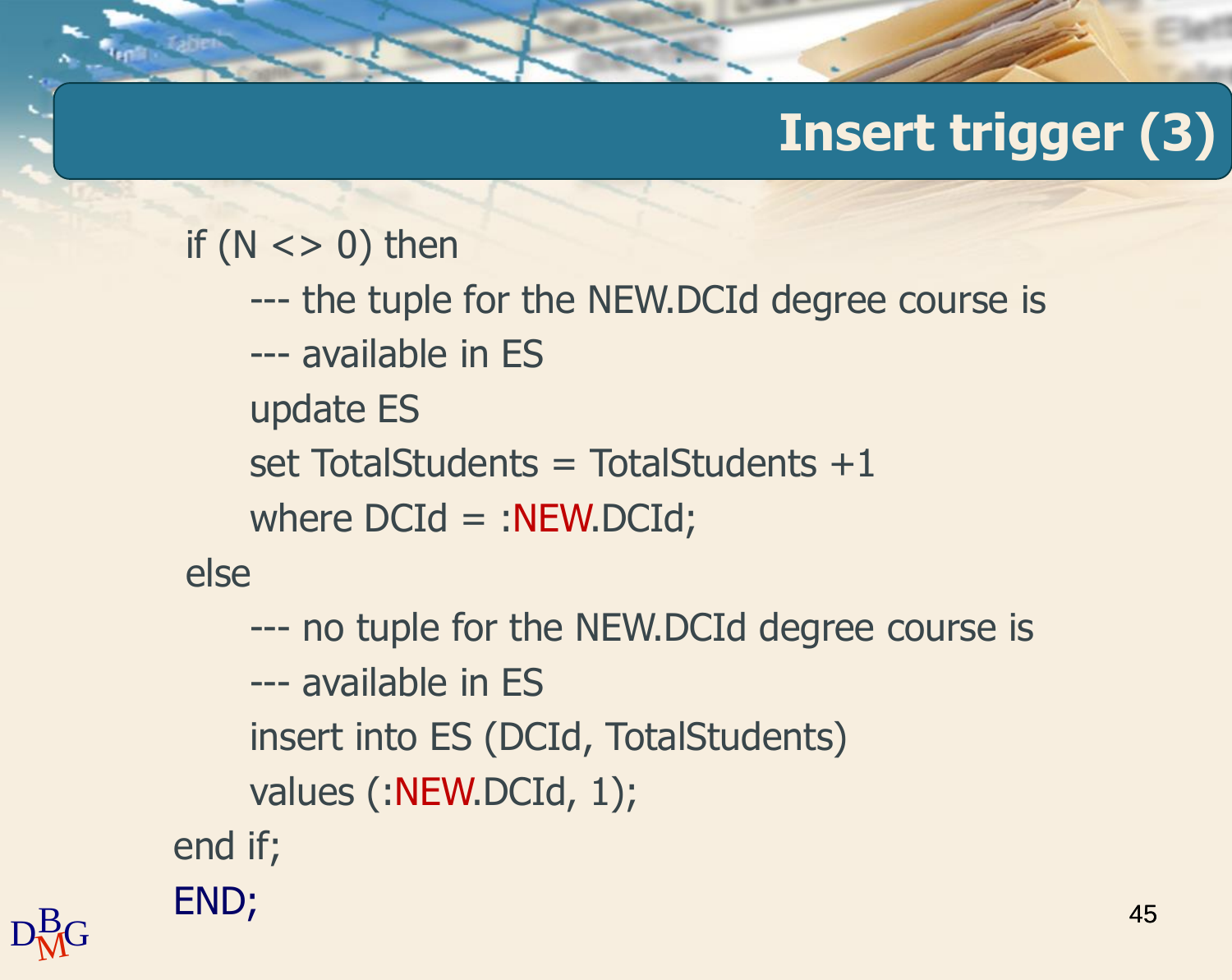```
if (N \lt > 0) then
   --- the tuple for the NEW.DCId degree course is
   --- available in ES
   update ES
   set TotalStudents = TotalStudents +1where DCd = :NEW.DCd;else
   --- no tuple for the NEW.DCId degree course is
   --- available in ES
   insert into ES (DCId, TotalStudents)
```
values (:NEW.DCId, 1);

end if;

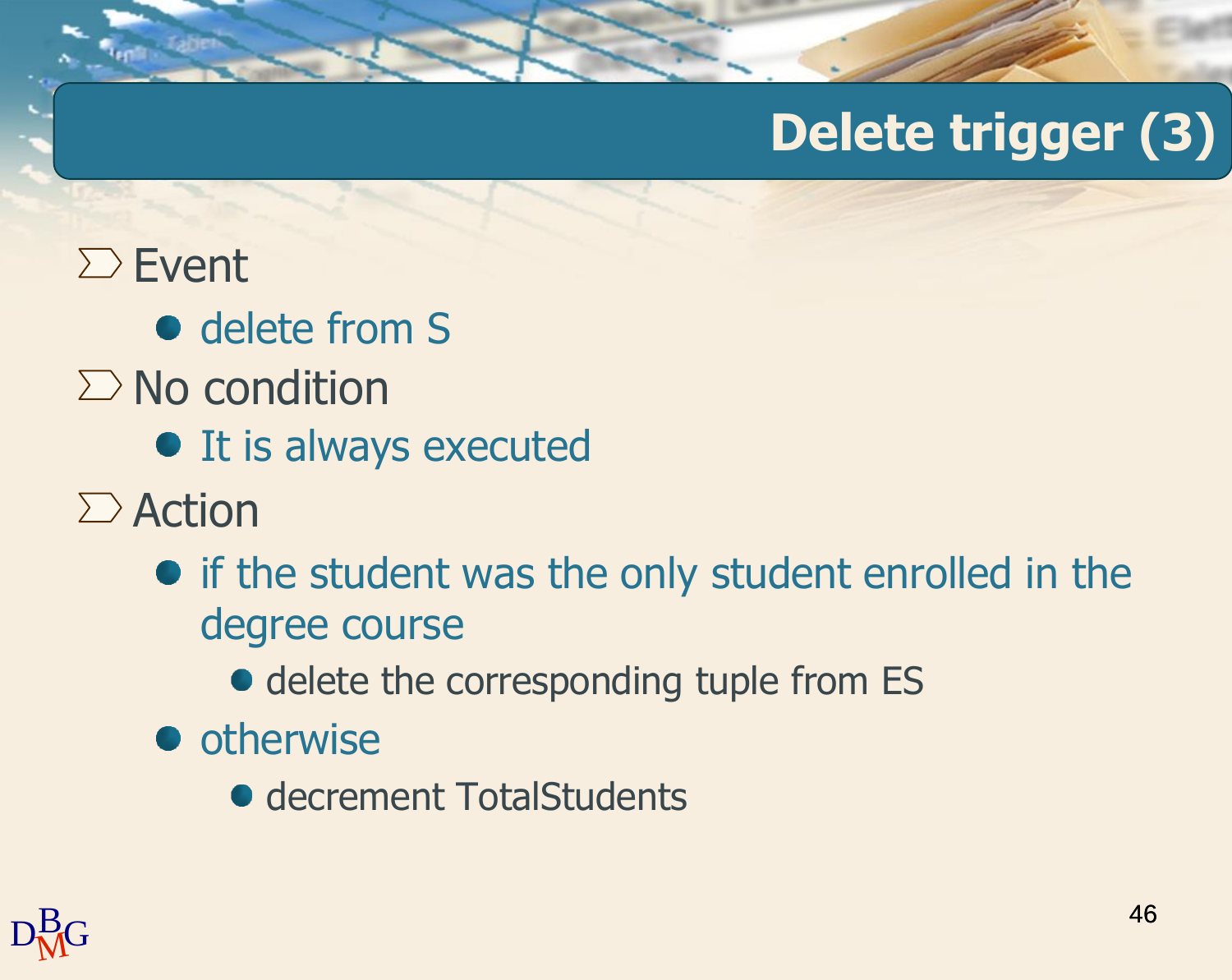#### $\Sigma$  Event

- delete from S
- $\Sigma$  No condition
	- **•** It is always executed
- $\sum$  Action
	- if the student was the only student enrolled in the degree course
		- delete the corresponding tuple from ES
	- otherwise
		- **decrement TotalStudents**

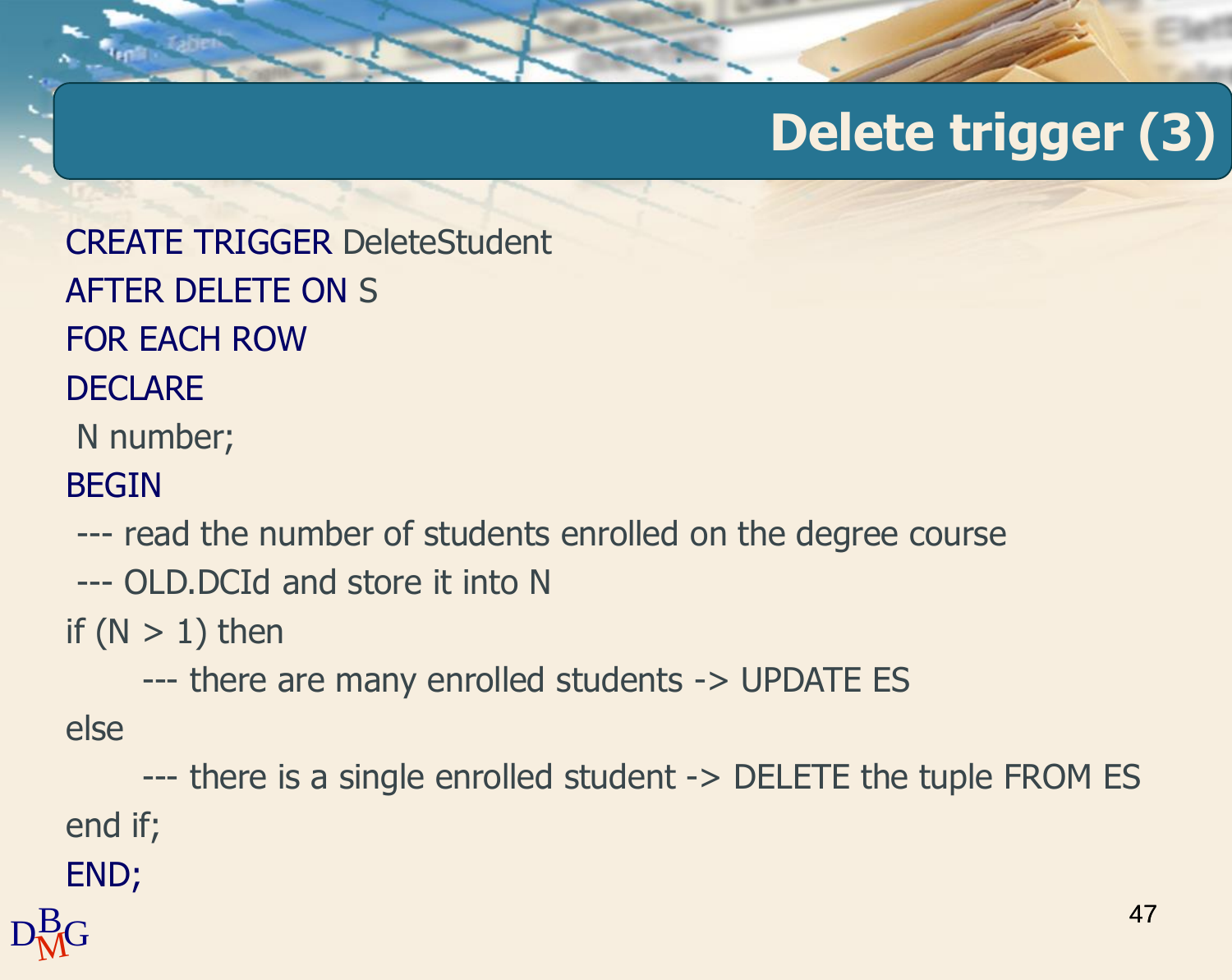CREATE TRIGGER DeleteStudent AFTER DELETE ON S FOR EACH ROW

#### **DECLARE**

N number;

#### BEGIN

--- read the number of students enrolled on the degree course

--- OLD.DCId and store it into N

if  $(N > 1)$  then

--- there are many enrolled students -> UPDATE ES

else

--- there is a single enrolled student -> DELETE the tuple FROM ES end if;

END;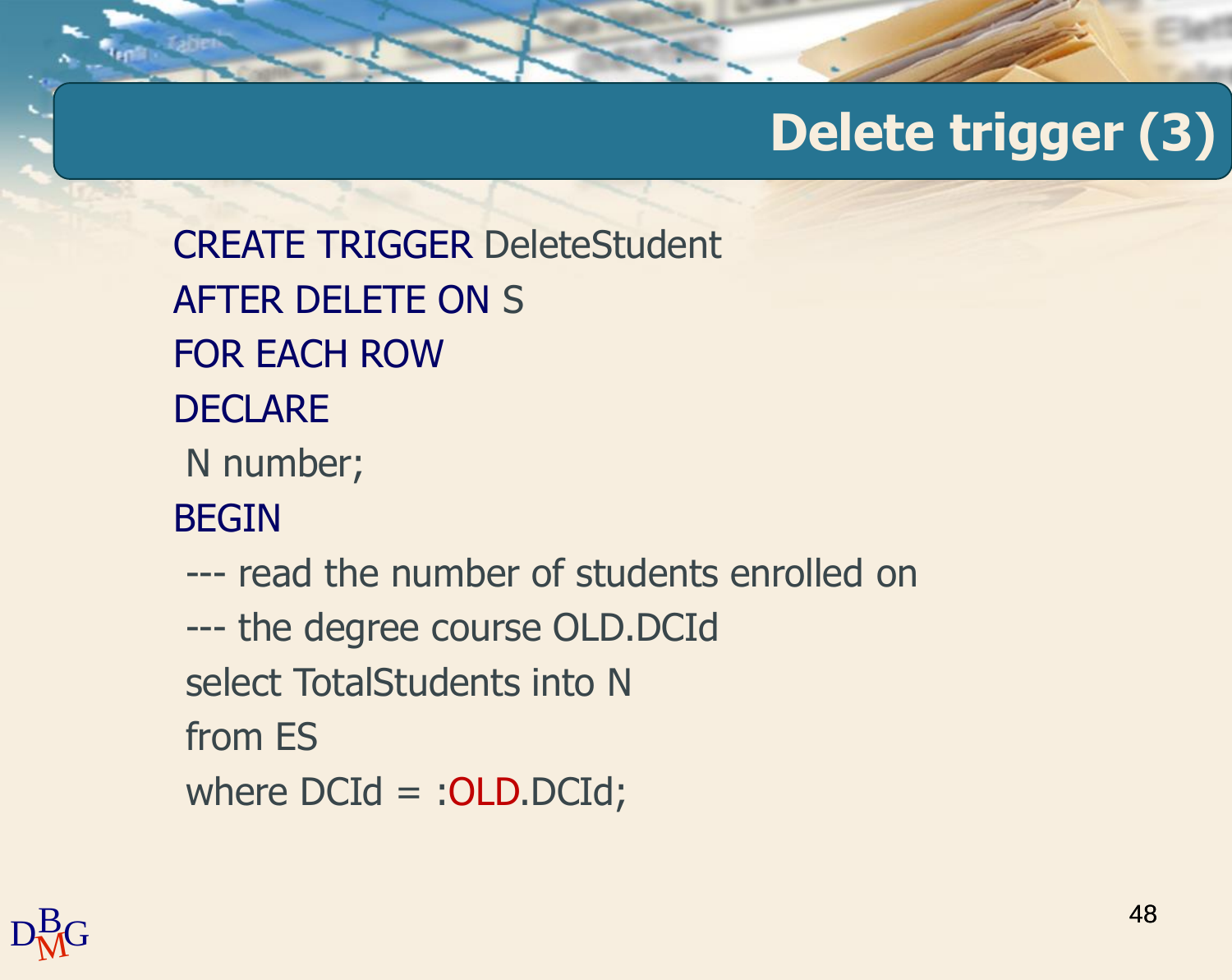CREATE TRIGGER DeleteStudent AFTER DELETE ON S FOR EACH ROW **DECLARE** N number; BEGIN --- read the number of students enrolled on --- the degree course OLD.DCId select TotalStudents into N from ES where DCId = : OLD.DCId;

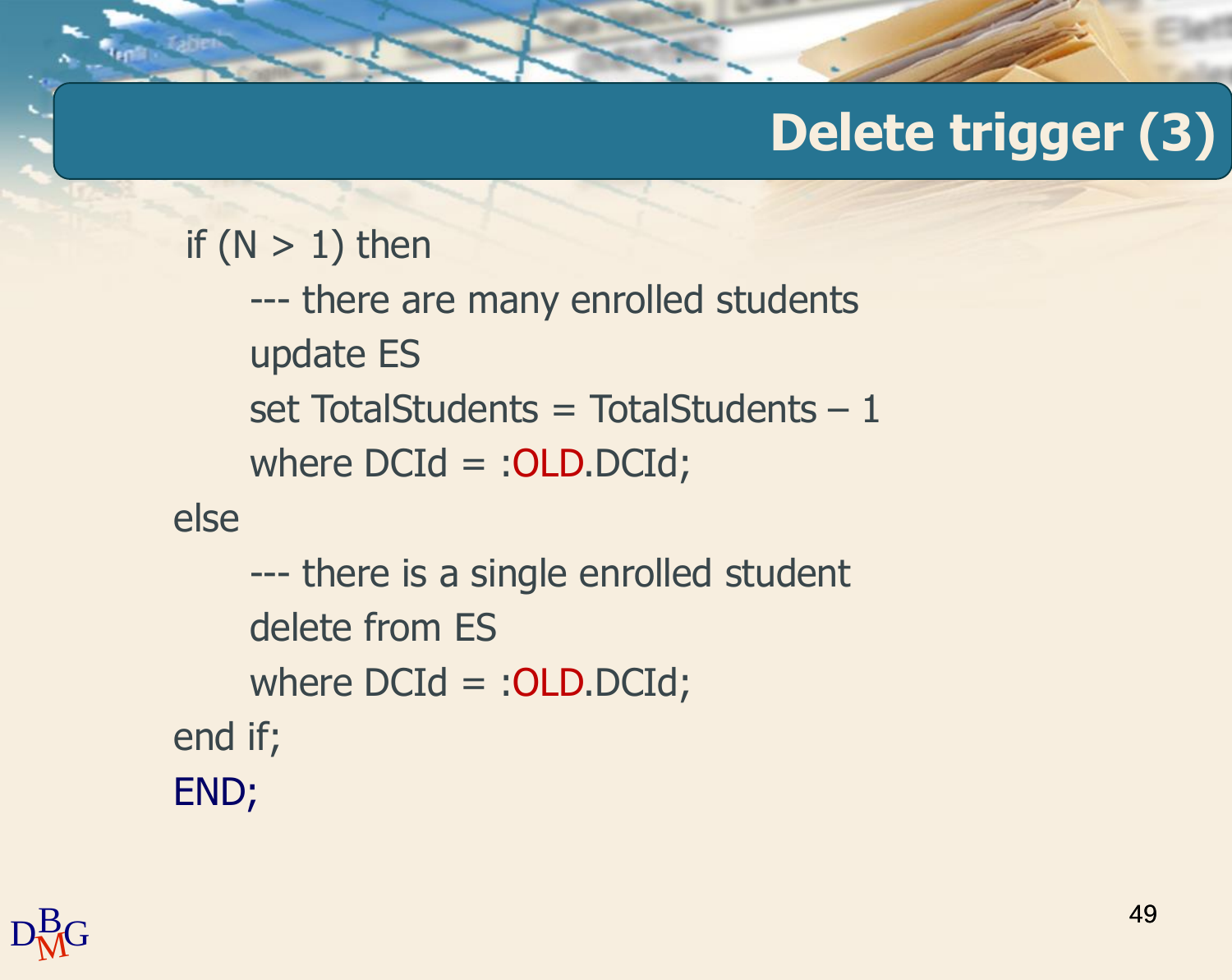```
if (N > 1) then
    --- there are many enrolled students
    update ES
    set TotalStudents = TotalStudents -1where DCd = :OLD.DCd;else
    --- there is a single enrolled student
    delete from ES
    where DCId = : OLD.DCId;
end if;
END;
```
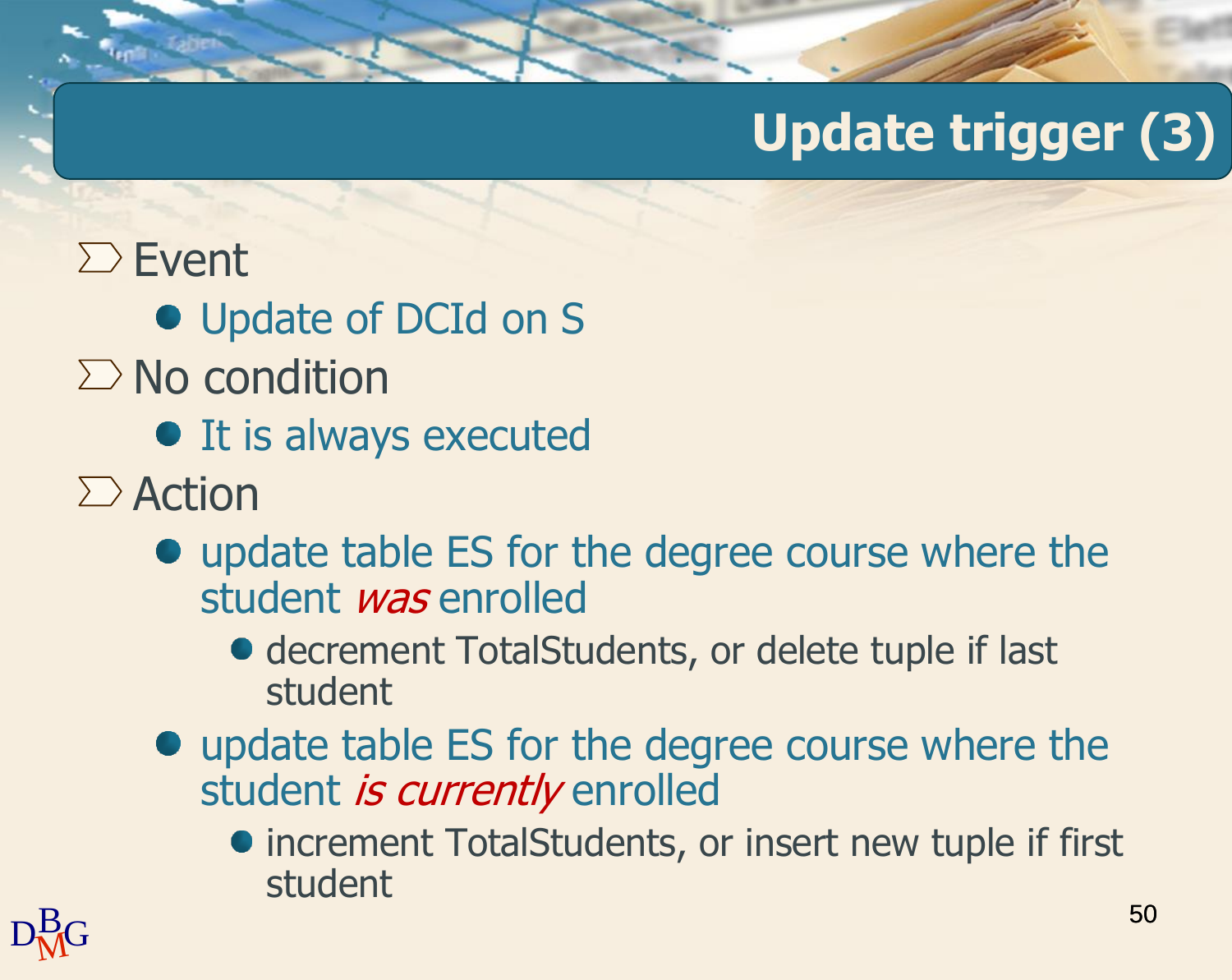### $\Sigma$  Event

- Update of DCId on S
- $\Sigma$  No condition
	- It is always executed
- $\sum$  Action
	- update table ES for the degree course where the student *was* enrolled
		- decrement TotalStudents, or delete tuple if last student
	- update table ES for the degree course where the student is currently enrolled
		- increment TotalStudents, or insert new tuple if first student

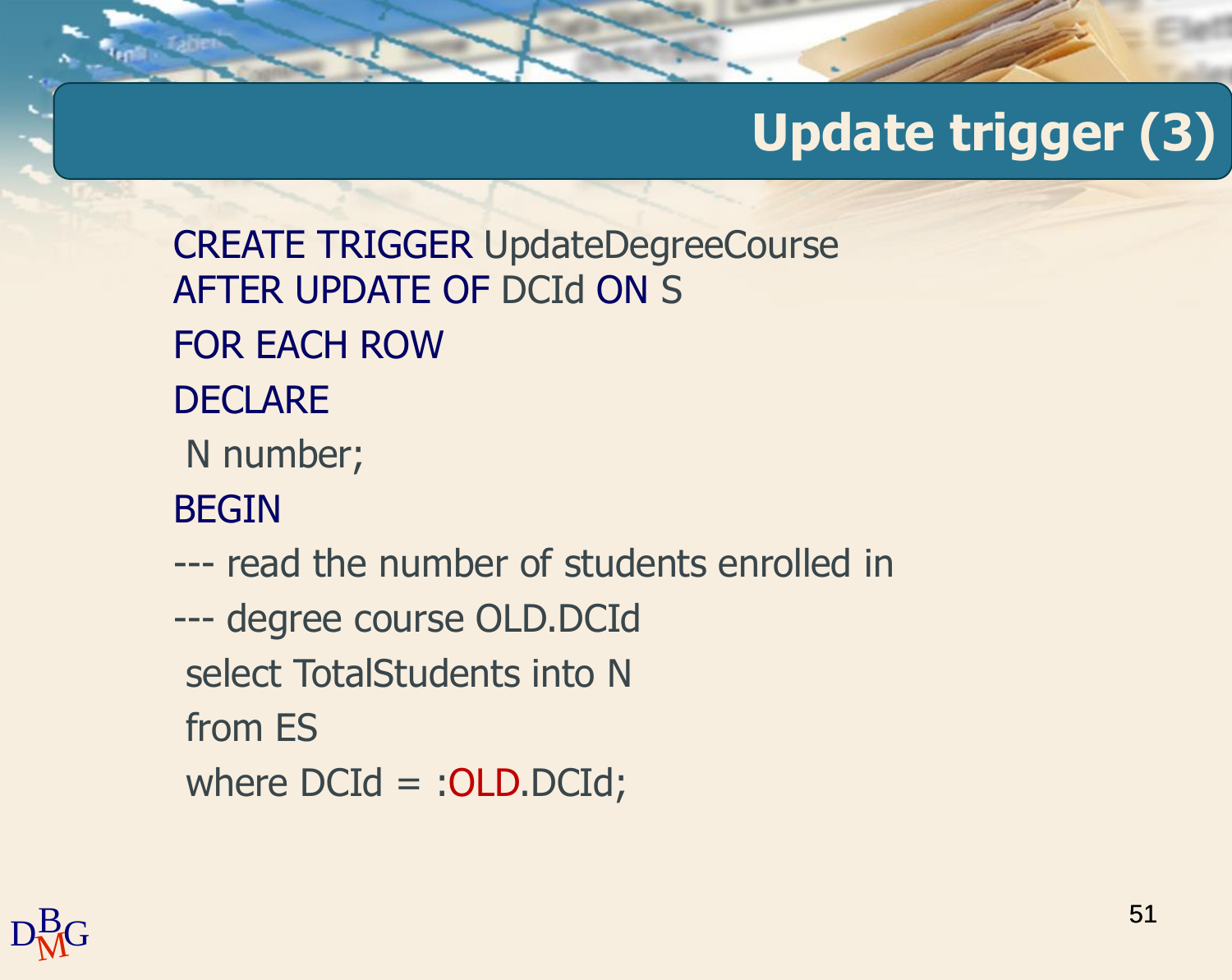CREATE TRIGGER UpdateDegreeCourse AFTER UPDATE OF DCId ON S FOR EACH ROW DECLARE N number; BEGIN --- read the number of students enrolled in --- degree course OLD.DCId select TotalStudents into N from ES where DCId = : OLD.DCId;

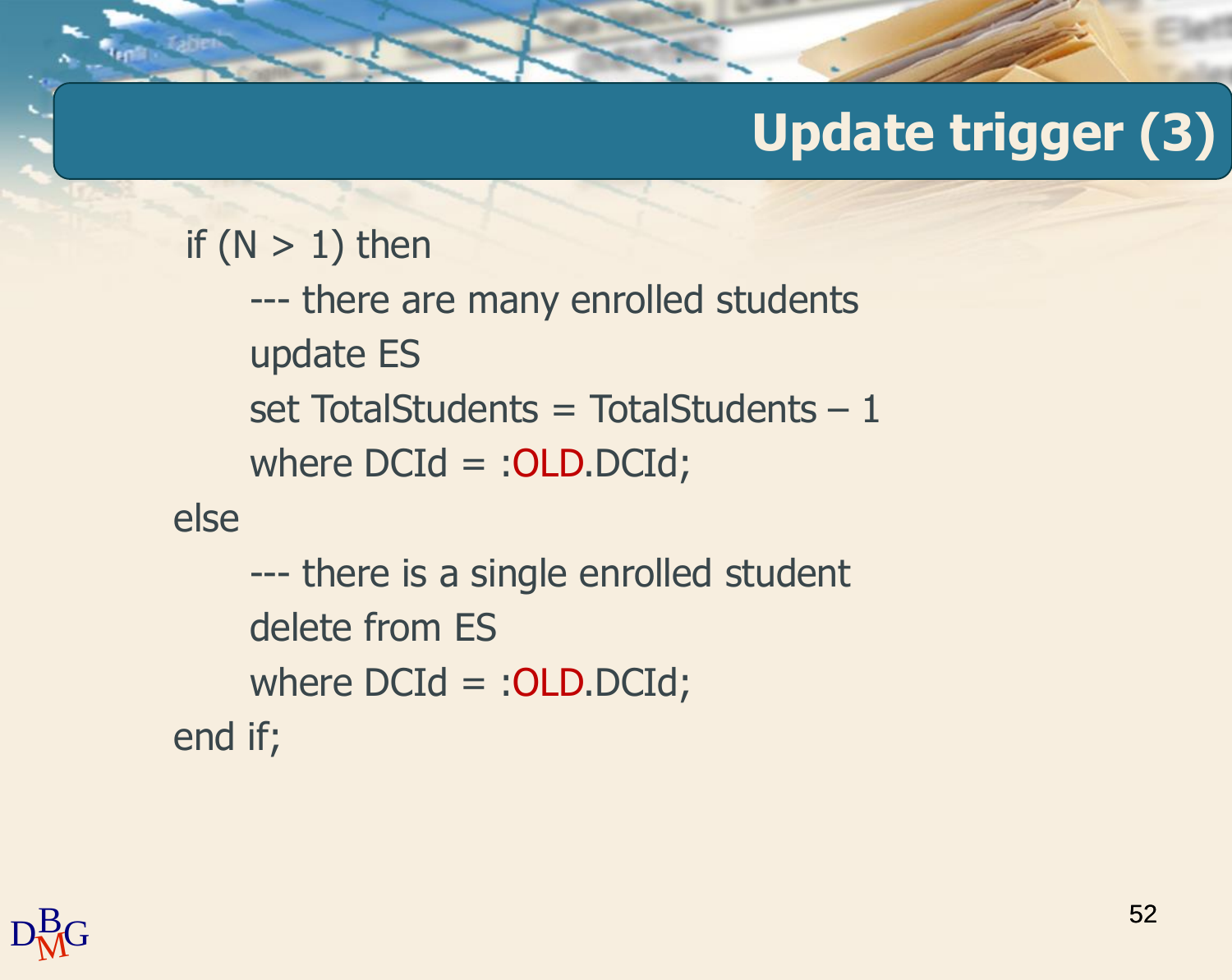```
if (N > 1) then
    --- there are many enrolled students
    update ES
    set TotalStudents = TotalStudents -1where DCd = :OLD.DCd;else
    --- there is a single enrolled student
    delete from ES
    where DCId = : OLD.DCId;
end if;
```
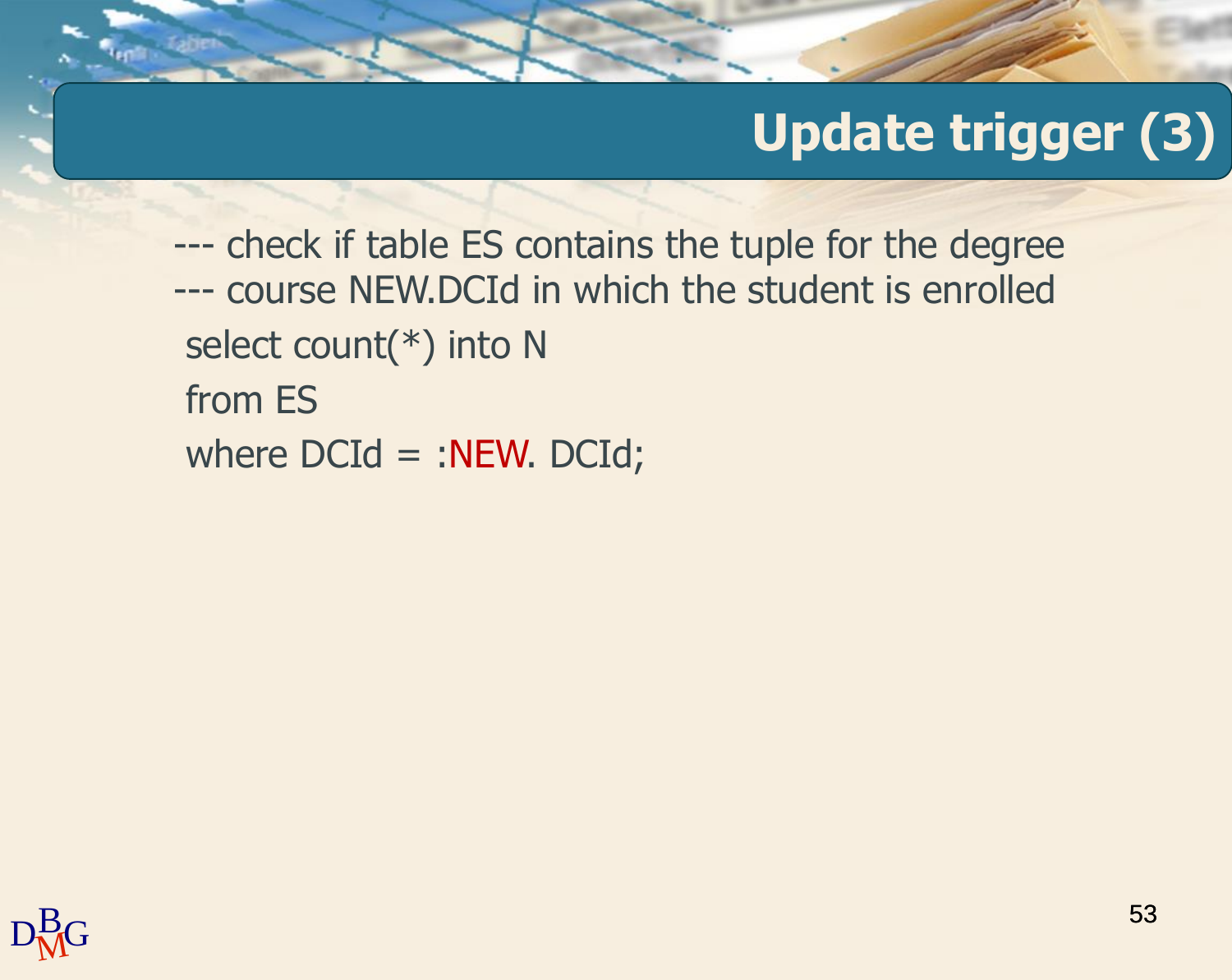--- check if table ES contains the tuple for the degree --- course NEW.DCId in which the student is enrolled select count(\*) into N from ES where  $DCd = :NEW. DCd;$